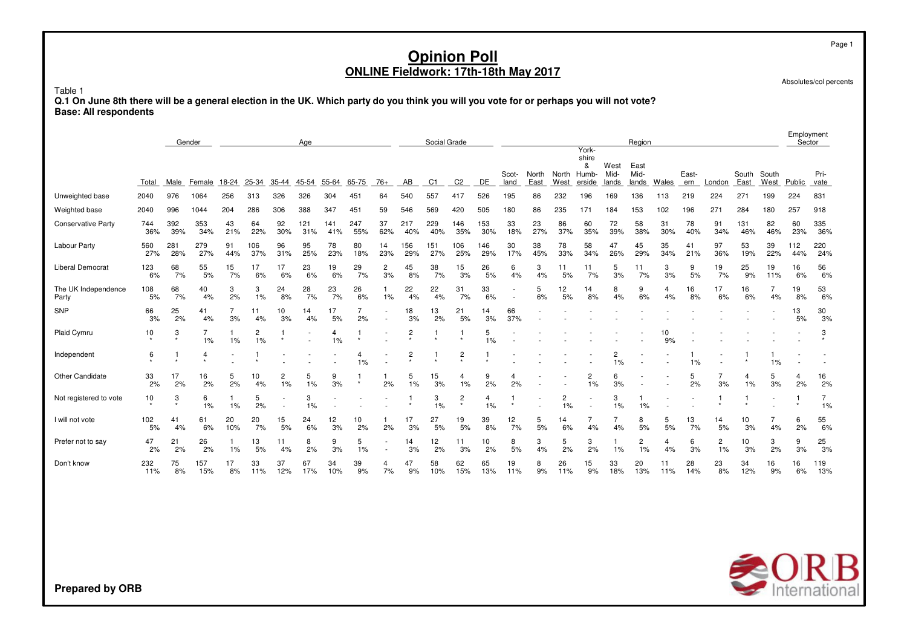Absolutes/col percents

Table 1

 **Q.1 On June 8th there will be a general election in the UK. Which party do you think you will you vote for or perhaps you will not vote? Base: All respondents**

|                              |            |              | Gender     |           |            |           | Age        |                      |            |                      |                 | Social Grade   |                |            |                          |               |                     |                               |                       | Region                |           |              |           |               |               | Employment           | Sector               |
|------------------------------|------------|--------------|------------|-----------|------------|-----------|------------|----------------------|------------|----------------------|-----------------|----------------|----------------|------------|--------------------------|---------------|---------------------|-------------------------------|-----------------------|-----------------------|-----------|--------------|-----------|---------------|---------------|----------------------|----------------------|
|                              | Total      | Male         | Female     | 18-24     | 25-34      | 35-44     | 45-54      | 55-64                | 65-75      | $76+$                | AB              | C <sub>1</sub> | C <sub>2</sub> | DE         | Scot-<br>land            | North<br>East | North Humb-<br>West | York-<br>shire<br>&<br>erside | West<br>Mid-<br>lands | East<br>Mid-<br>lands | Wales     | East-<br>ern | London    | South<br>East | South<br>West | Public               | Pri-<br>vate         |
| Unweighted base              | 2040       | 976          | 1064       | 256       | 313        | 326       | 326        | 304                  | 451        | 64                   | 540             | 557            | 417            | 526        | 195                      | 86            | 232                 | 196                           | 169                   | 136                   | 113       | 219          | 224       | 271           | 199           | 224                  | 831                  |
| Weighted base                | 2040       | 996          | 1044       | 204       | 286        | 306       | 388        | 347                  | 451        | 59                   | 546             | 569            | 420            | 505        | 180                      | 86            | 235                 | 171                           | 184                   | 153                   | 102       | 196          | 271       | 284           | 180           | 257                  | 918                  |
| <b>Conservative Party</b>    | 744<br>36% | 392<br>39%   | 353<br>34% | 43<br>21% | 64<br>22%  | 92<br>30% | 121<br>31% | 141<br>41%           | 247<br>55% | 37<br>62%            | 217<br>40%      | 229<br>40%     | 146<br>35%     | 153<br>30% | 33<br>18%                | 23<br>27%     | 86<br>37%           | 60<br>35%                     | 72<br>39%             | 58<br>38%             | 31<br>30% | 78<br>40%    | 91<br>34% | 131<br>46%    | 82<br>46%     | 60<br>23%            | 335<br>36%           |
| Labour Party                 | 560<br>27% | 281<br>28%   | 279<br>27% | 91<br>44% | 106<br>37% | 96<br>31% | 95<br>25%  | 78<br>23%            | 80<br>18%  | 14<br>23%            | 156<br>29%      | 151<br>27%     | 106<br>25%     | 146<br>29% | 30<br>17%                | 38<br>45%     | 78<br>33%           | 58<br>34%                     | 47<br>26%             | 45<br>29%             | 35<br>34% | 41<br>21%    | 97<br>36% | 53<br>19%     | 39<br>22%     | 112<br>44%           | 220<br>24%           |
| <b>Liberal Democrat</b>      | 123<br>6%  | 68<br>7%     | 55<br>5%   | 15<br>7%  | 17<br>6%   | 17<br>6%  | 23<br>6%   | 19<br>6%             | 29<br>7%   | $\overline{c}$<br>3% | 45<br>8%        | 38<br>7%       | 15<br>3%       | 26<br>5%   | 6<br>4%                  | 3<br>4%       | 11<br>5%            | 11<br>7%                      | 5<br>3%               | 11<br>7%              | 3<br>3%   | 9<br>5%      | 19<br>7%  | 25<br>9%      | 19<br>11%     | 16<br>6%             | 56<br>6%             |
| The UK Independence<br>Party | 108<br>5%  | 68<br>7%     | 40<br>4%   | 3<br>2%   | 3<br>1%    | 24<br>8%  | 28<br>7%   | 23<br>7%             | 26<br>6%   | 1%                   | 22<br>4%        | 22<br>4%       | 31<br>7%       | 33<br>6%   | $\overline{\phantom{a}}$ | 5<br>6%       | 12<br>5%            | 14<br>8%                      | 8<br>4%               | 9<br>6%               | 4<br>4%   | 16<br>8%     | 17<br>6%  | 16<br>6%      | 4%            | 19<br>8%             | 53<br>6%             |
| SNP                          | 66<br>3%   | 25<br>2%     | 41<br>4%   | 7<br>3%   | 11<br>4%   | 10<br>3%  | 14<br>4%   | 17<br>5%             | 2%         |                      | 18<br>3%        | 13<br>2%       | 21<br>5%       | 14<br>3%   | 66<br>37%                |               |                     |                               |                       |                       |           |              |           |               |               | 13<br>5%             | 30<br>3%             |
| Plaid Cymru                  | 10         | 3<br>$\star$ | 1%         | 1%        | 2<br>1%    | $\star$   |            | $\overline{4}$<br>1% | $\star$    |                      | $\frac{2}{\pi}$ |                | $\star$        | 5<br>1%    |                          |               |                     |                               |                       |                       | 10<br>9%  |              |           |               |               |                      | 3<br>$\star$         |
| Independent                  | 6          |              | 4          |           |            |           |            |                      | 4<br>1%    |                      | 2               |                | 2              |            |                          |               |                     |                               | 1%                    |                       |           | 1%           |           |               | 1%            |                      |                      |
| Other Candidate              | 33<br>2%   | 17<br>2%     | 16<br>2%   | 5<br>2%   | 10<br>4%   | 2<br>1%   | 5<br>1%    | 9<br>3%              | $\star$    | 2%                   | 5<br>1%         | 15<br>3%       | 4<br>1%        | 9<br>2%    | 4<br>2%                  |               |                     | $\overline{c}$<br>1%          | 6<br>3%               |                       |           | 5<br>2%      | 3%        | 4<br>1%       | 5<br>3%       | $\overline{4}$<br>2% | 16<br>2%             |
| Not registered to vote       | 10         | 3<br>$\star$ | 6<br>1%    | 1%        | 5<br>2%    |           | 3<br>1%    |                      |            |                      |                 | 3<br>1%        | 2<br>$\star$   | 1%         | $\star$                  |               | 2<br>1%             |                               | 3<br>1%               | 1%                    |           |              | $\star$   |               |               | $\star$              | $\overline{7}$<br>1% |
| I will not vote              | 102<br>5%  | 41<br>4%     | 61<br>6%   | 20<br>10% | 20<br>7%   | 15<br>5%  | 24<br>6%   | 12<br>3%             | 10<br>2%   | 2%                   | 17<br>3%        | 27<br>5%       | 19<br>5%       | 39<br>8%   | 12<br>7%                 | 5<br>5%       | 14<br>6%            | 4%                            | 4%                    | 8<br>5%               | 5<br>5%   | 13<br>7%     | 14<br>5%  | 10<br>3%      | 4%            | 6<br>2%              | 55<br>6%             |
| Prefer not to say            | 47<br>2%   | 21<br>2%     | 26<br>2%   | 1%        | 13<br>5%   | 11<br>4%  | 8<br>2%    | 9<br>3%              | 5<br>1%    |                      | 14<br>3%        | 12<br>2%       | 11<br>3%       | 10<br>2%   | 8<br>5%                  | 3<br>4%       | 5<br>2%             | 3<br>2%                       | 1%                    | $\overline{c}$<br>1%  | 4<br>4%   | 6<br>3%      | 2<br>1%   | 10<br>3%      | 3<br>2%       | 9<br>3%              | 25<br>3%             |
| Don't know                   | 232<br>11% | 75<br>8%     | 157<br>15% | 17<br>8%  | 33<br>11%  | 37<br>12% | 67<br>17%  | 34<br>10%            | 39<br>9%   | 4<br>7%              | 47<br>9%        | 58<br>10%      | 62<br>15%      | 65<br>13%  | 19<br>11%                | 8<br>9%       | 26<br>11%           | 15<br>9%                      | 33<br>18%             | 20<br>13%             | 11<br>11% | 28<br>14%    | 23<br>8%  | 34<br>12%     | 16<br>9%      | 16<br>6%             | 119<br>13%           |

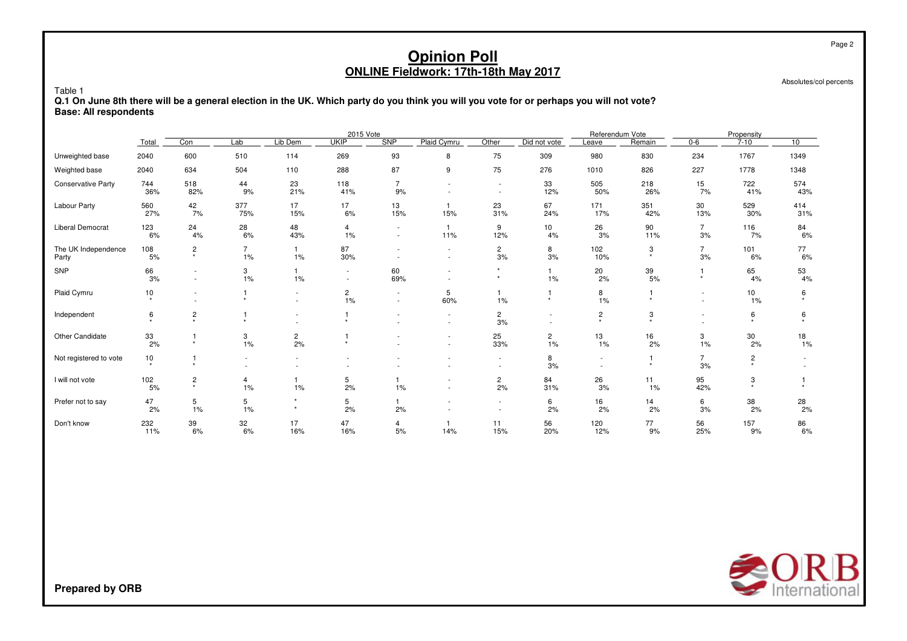Absolutes/col percents

Page 2

Table 1 **Q.1 On June 8th there will be a general election in the UK. Which party do you think you will you vote for or perhaps you will not vote? Base: All respondents**

|                              |               |                                                      |                      |                    | 2015 Vote                          |                      |             |                      |                      |                           | Referendum Vote |                      | Propensity                |            |
|------------------------------|---------------|------------------------------------------------------|----------------------|--------------------|------------------------------------|----------------------|-------------|----------------------|----------------------|---------------------------|-----------------|----------------------|---------------------------|------------|
|                              | Total         | Con                                                  | Lab                  | Lib Dem            | <b>UKIP</b>                        | <b>SNP</b>           | Plaid Cymru | Other                | Did not vote         | Leave                     | Remain          | $0-6$                | $7 - 10$                  | 10         |
| Unweighted base              | 2040          | 600                                                  | 510                  | 114                | 269                                | 93                   | 8           | 75                   | 309                  | 980                       | 830             | 234                  | 1767                      | 1349       |
| Weighted base                | 2040          | 634                                                  | 504                  | 110                | 288                                | 87                   | 9           | 75                   | 276                  | 1010                      | 826             | 227                  | 1778                      | 1348       |
| <b>Conservative Party</b>    | 744<br>36%    | 518<br>82%                                           | 44<br>9%             | 23<br>21%          | 118<br>41%                         | $\overline{7}$<br>9% |             |                      | 33<br>12%            | 505<br>50%                | 218<br>26%      | 15<br>7%             | 722<br>41%                | 574<br>43% |
| Labour Party                 | 560<br>27%    | 42<br>7%                                             | 377<br>75%           | 17<br>15%          | 17<br>6%                           | 13<br>15%            | 15%         | 23<br>31%            | 67<br>24%            | 171<br>17%                | 351<br>42%      | 30<br>13%            | 529<br>30%                | 414<br>31% |
| <b>Liberal Democrat</b>      | 123<br>6%     | 24<br>4%                                             | 28<br>6%             | 48<br>43%          | 4<br>1%                            |                      | 11%         | 9<br>12%             | 10<br>4%             | 26<br>3%                  | 90<br>11%       | $\overline{7}$<br>3% | 116<br>7%                 | 84<br>6%   |
| The UK Independence<br>Party | 108<br>5%     | $\overline{c}$<br>$\star$                            | $\overline{7}$<br>1% | $\mathbf{1}$<br>1% | 87<br>30%                          |                      | ٠           | $\overline{c}$<br>3% | 8<br>3%              | 102<br>10%                | 3<br>$^\star$   | $\overline{7}$<br>3% | 101<br>6%                 | 77<br>6%   |
| SNP                          | 66<br>3%      | $\overline{\phantom{a}}$<br>$\overline{\phantom{a}}$ | 3<br>1%              | $\mathbf{1}$<br>1% | $\sim$<br>$\overline{\phantom{a}}$ | 60<br>69%            |             | $\star$              | 1%                   | 20<br>2%                  | 39<br>5%        | $\star$              | 65<br>4%                  | 53<br>4%   |
| Plaid Cymru                  | 10<br>$\star$ |                                                      | ٠                    | ٠<br>٠             | $\overline{\mathbf{c}}$<br>1%      | $\sim$               | 5<br>60%    | 1%                   | $\star$              | 8<br>1%                   | $\star$         |                      | 10<br>1%                  | 6          |
| Independent                  | 6             | 2<br>$\star$                                         | ٠                    | ٠                  |                                    |                      | ٠<br>٠      | $\overline{c}$<br>3% |                      | $\overline{c}$<br>$\star$ | 3<br>$\star$    |                      | 6<br>$\star$              | 6          |
| Other Candidate              | 33<br>2%      | $\star$                                              | $\frac{3}{1\%}$      | $\frac{2}{2\%}$    | $\star$                            |                      | ۰.<br>٠     | 25<br>33%            | $\overline{c}$<br>1% | 13<br>1%                  | 16<br>2%        | 3<br>1%              | 30<br>2%                  | 18<br>1%   |
| Not registered to vote       | 10<br>$\star$ | $\star$                                              |                      |                    |                                    |                      |             |                      | 8<br>3%              |                           | -1<br>$\star$   | $\overline{7}$<br>3% | $\overline{c}$<br>$\star$ |            |
| I will not vote              | 102<br>5%     | $\overline{c}$<br>$\star$                            | 4<br>1%              | $\mathbf{1}$<br>1% | 5<br>2%                            | 1%                   |             | 2<br>2%              | 84<br>31%            | 26<br>3%                  | 11<br>1%        | 95<br>42%            | 3<br>$\star$              |            |
| Prefer not to say            | 47<br>2%      | 5<br>1%                                              | 5<br>1%              | $\star$            | 5<br>2%                            | 2%                   |             |                      | 6<br>2%              | 16<br>2%                  | 14<br>2%        | 6<br>3%              | 38<br>2%                  | 28<br>2%   |
| Don't know                   | 232<br>11%    | 39<br>6%                                             | 32<br>6%             | 17<br>16%          | 47<br>16%                          | 4<br>5%              | 14%         | 11<br>15%            | 56<br>20%            | 120<br>12%                | 77<br>9%        | 56<br>25%            | 157<br>9%                 | 86<br>6%   |

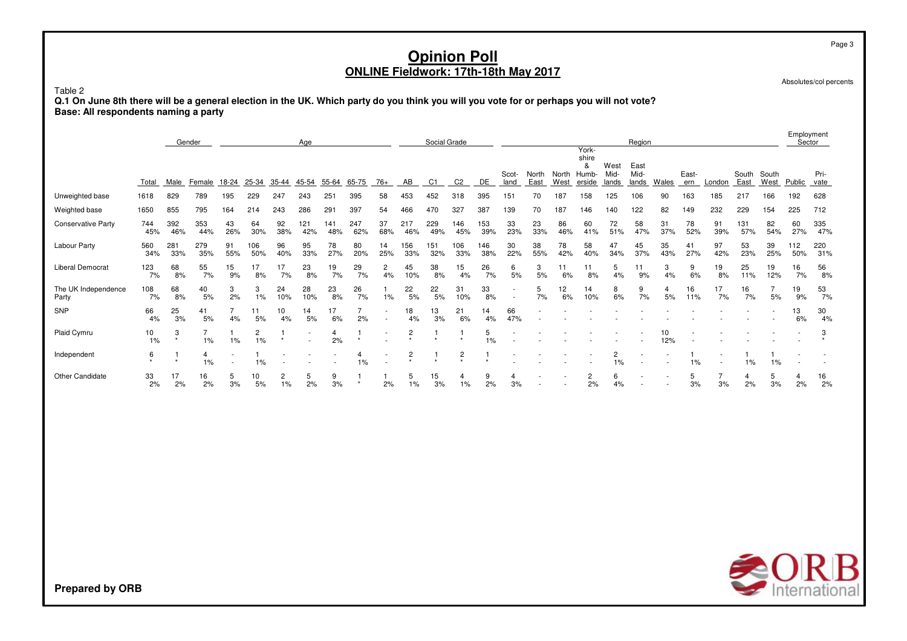Absolutes/col percents

Page 3

Table 2 **Q.1 On June 8th there will be a general election in the UK. Which party do you think you will you vote for or perhaps you will not vote? Base: All respondents naming a party**

|                              | Gender<br>Age |                |            |           |            |           |            |            |            |           |                | Social Grade |                |            |                                                      |               |               |                                        |                       | Region                |           |              |           |               |               | Employment               | Sector       |
|------------------------------|---------------|----------------|------------|-----------|------------|-----------|------------|------------|------------|-----------|----------------|--------------|----------------|------------|------------------------------------------------------|---------------|---------------|----------------------------------------|-----------------------|-----------------------|-----------|--------------|-----------|---------------|---------------|--------------------------|--------------|
|                              | Total         | Male           | Female     | 18-24     | 25-34      | $35 - 44$ | 45-54      | 55-64      | 65-75      | 76+       | AB             | C1           | C2             | DE         | Scot-<br>land                                        | North<br>East | North<br>West | York-<br>shire<br>&<br>Humb-<br>erside | West<br>Mid-<br>lands | East<br>Mid-<br>lands | Wales     | East-<br>ern | London    | South<br>East | South<br>West | Public                   | Pri-<br>vate |
| Unweighted base              | 1618          | 829            | 789        | 195       | 229        | 247       | 243        | 251        | 395        | 58        | 453            | 452          | 318            | 395        | 151                                                  | 70            | 187           | 158                                    | 125                   | 106                   | 90        | 163          | 185       | 217           | 166           | 192                      | 628          |
| Weighted base                | 1650          | 855            | 795        | 164       | 214        | 243       | 286        | 291        | 397        | 54        | 466            | 470          | 327            | 387        | 139                                                  | 70            | 187           | 146                                    | 140                   | 122                   | 82        | 149          | 232       | 229           | 154           | 225                      | 712          |
| <b>Conservative Party</b>    | 744<br>45%    | 392<br>46%     | 353<br>44% | 43<br>26% | 64<br>30%  | 92<br>38% | 121<br>42% | 141<br>48% | 247<br>62% | 37<br>68% | 217<br>46%     | 229<br>49%   | 146<br>45%     | 153<br>39% | 33<br>23%                                            | 23<br>33%     | 86<br>46%     | 60<br>41%                              | 72<br>51%             | 58<br>47%             | 31<br>37% | 78<br>52%    | 91<br>39% | 131<br>57%    | 82<br>54%     | 60<br>27%                | 335<br>47%   |
| Labour Party                 | 560<br>34%    | 281<br>33%     | 279<br>35% | 91<br>55% | 106<br>50% | 96<br>40% | 95<br>33%  | 78<br>27%  | 80<br>20%  | 14<br>25% | 156<br>33%     | 151<br>32%   | 106<br>33%     | 146<br>38% | 30<br>22%                                            | 38<br>55%     | 78<br>42%     | 58<br>40%                              | 47<br>34%             | 45<br>37%             | 35<br>43% | 41<br>27%    | 97<br>42% | 53<br>23%     | 39<br>25%     | 112<br>50%               | 220<br>31%   |
| <b>Liberal Democrat</b>      | 123<br>7%     | 68<br>8%       | 55<br>7%   | 15<br>9%  | 17<br>8%   | 17<br>7%  | 23<br>8%   | 19<br>7%   | 29<br>7%   | 2<br>4%   | 45<br>10%      | 38<br>8%     | 15<br>4%       | 26<br>7%   | 6<br>5%                                              | 3<br>5%       | 6%            | 11<br>8%                               | 5<br>4%               | 11<br>9%              | 3<br>4%   | 9<br>6%      | 19<br>8%  | 25<br>11%     | 19<br>12%     | 16<br>7%                 | 56<br>8%     |
| The UK Independence<br>Party | 108<br>7%     | 68<br>8%       | 40<br>5%   | 3<br>2%   | 3<br>1%    | 24<br>10% | 28<br>10%  | 23<br>8%   | 26<br>7%   | 1%        | 22<br>5%       | 22<br>5%     | 31<br>10%      | 33<br>8%   | $\overline{\phantom{a}}$<br>$\overline{\phantom{a}}$ | 5<br>7%       | 12<br>6%      | 14<br>10%                              | 8<br>6%               | 9<br>7%               | 5%        | 16<br>11%    | 17<br>7%  | 16<br>7%      | 5%            | 19<br>9%                 | 53<br>7%     |
| <b>SNP</b>                   | 66<br>4%      | 25<br>3%       | 41<br>5%   | 4%        | 5%         | 10<br>4%  | 14<br>5%   | 17<br>6%   | 2%         |           | 18<br>4%       | 13<br>3%     | 21<br>6%       | 14<br>4%   | 66<br>47%                                            |               |               |                                        |                       |                       |           |              |           |               |               | 13<br>6%                 | 30<br>4%     |
| Plaid Cymru                  | 10<br>1%      | 3<br>$\ddot{}$ | 1%         | 1%        | 2<br>1%    |           |            | 4<br>2%    | $\star$    |           | $\overline{c}$ |              |                | 5<br>1%    |                                                      |               |               |                                        |                       |                       | 10<br>12% |              |           |               |               | $\overline{\phantom{a}}$ | 3            |
| Independent                  | 6             | $\star$        | 4<br>1%    | ٠         | $1\%$      |           |            |            | 1%         |           | $\overline{c}$ |              | $\overline{c}$ |            |                                                      |               |               |                                        | 1%                    |                       |           | 1%           |           | 1%            | 1%            |                          |              |
| Other Candidate              | 33<br>2%      | 17<br>2%       | 16<br>2%   | 5<br>3%   | 10<br>5%   | 2<br>1%   | 5<br>2%    | 9<br>3%    | $\star$    | 2%        | 5<br>$1\%$     | 15<br>3%     | 4<br>1%        | 9<br>2%    | 4<br>3%                                              |               |               | 2<br>2%                                | 6<br>4%               |                       |           | 5<br>3%      | 3%        | 4<br>2%       | 5<br>3%       | 4<br>2%                  | 16<br>2%     |

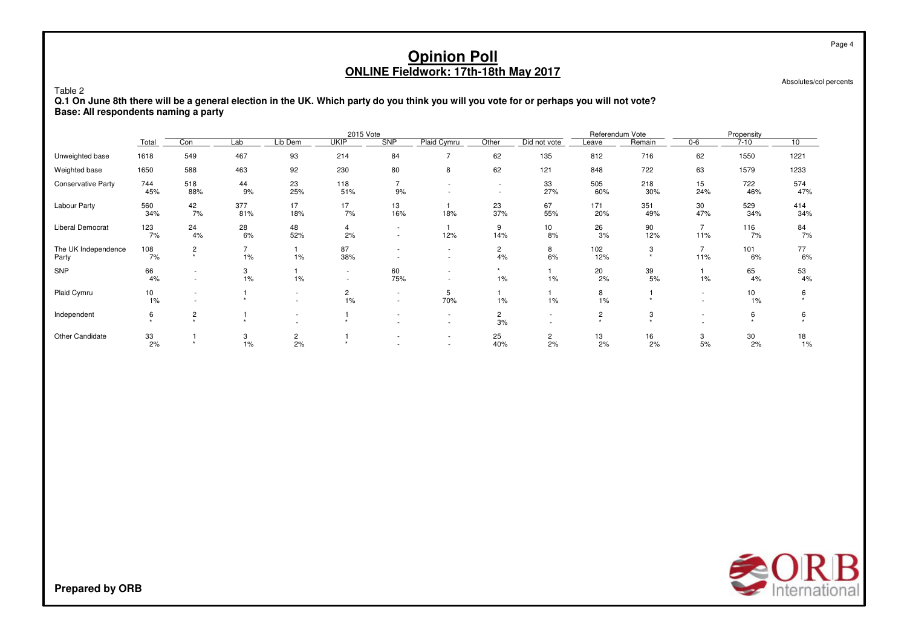Absolutes/col percents

Table 2

 **Q.1 On June 8th there will be a general election in the UK. Which party do you think you will you vote for or perhaps you will not vote? Base: All respondents naming a party**

|                              |            |                               |                      |                      | 2015 Vote                                            |             |               |                                                      |                      | Referendum Vote |                |           | Propensity |            |
|------------------------------|------------|-------------------------------|----------------------|----------------------|------------------------------------------------------|-------------|---------------|------------------------------------------------------|----------------------|-----------------|----------------|-----------|------------|------------|
|                              | Total      | Con                           | Lab                  | Lib Dem              | <b>UKIP</b>                                          | <b>SNP</b>  | Plaid Cymru   | Other                                                | Did not vote         | Leave           | Remain         | $0 - 6$   | $7 - 10$   | 10         |
| Unweighted base              | 1618       | 549                           | 467                  | 93                   | 214                                                  | 84          | $\rightarrow$ | 62                                                   | 135                  | 812             | 716            | 62        | 1550       | 1221       |
| Weighted base                | 1650       | 588                           | 463                  | 92                   | 230                                                  | 80          | 8             | 62                                                   | 121                  | 848             | 722            | 63        | 1579       | 1233       |
| <b>Conservative Party</b>    | 744<br>45% | 518<br>88%                    | 44<br>9%             | 23<br>25%            | 118<br>51%                                           | 9%          |               | $\overline{\phantom{a}}$<br>$\overline{\phantom{a}}$ | 33<br>27%            | 505<br>60%      | 218<br>30%     | 15<br>24% | 722<br>46% | 574<br>47% |
| Labour Party                 | 560<br>34% | 42<br>7%                      | 377<br>81%           | 17<br>18%            | 17<br>7%                                             | 13<br>16%   | 18%           | 23<br>37%                                            | 67<br>55%            | 171<br>20%      | 351<br>49%     | 30<br>47% | 529<br>34% | 414<br>34% |
| Liberal Democrat             | 123<br>7%  | 24<br>4%                      | 28<br>6%             | 48<br>52%            | 4<br>2%                                              | ٠<br>$\sim$ | 12%           | 9<br>14%                                             | 10<br>8%             | 26<br>3%        | 90<br>12%      | 7<br>11%  | 116<br>7%  | 84<br>7%   |
| The UK Independence<br>Party | 108<br>7%  | $\overline{c}$<br>$\star$     | $\overline{ }$<br>1% | 1%                   | 87<br>38%                                            |             | ٠<br>٠        | 2<br>4%                                              | 8<br>6%              | 102<br>12%      | 3<br>$\ddot{}$ | 7<br>11%  | 101<br>6%  | 77<br>6%   |
| SNP                          | 66<br>4%   | $\overline{\phantom{a}}$<br>٠ | 3<br>1%              | 1%                   | $\overline{\phantom{a}}$<br>$\overline{\phantom{a}}$ | 60<br>75%   | $\sim$        | $1\%$                                                | 1%                   | 20<br>2%        | 39<br>5%       | 1%        | 65<br>4%   | 53<br>4%   |
| Plaid Cymru                  | 10<br>1%   | $\overline{\phantom{a}}$      |                      | ۰.                   | $\mathbf{2}$<br>1%                                   | $\sim$<br>۰ | 5<br>70%      | 1%                                                   | 1%                   | 8<br>1%         |                |           | 10<br>1%   |            |
| Independent                  | 6          | $\overline{c}$                |                      | $\sim$               |                                                      |             | $\sim$        | 2<br>3%                                              | ۰.                   | $\overline{2}$  | 3              |           | 6          | 6          |
| Other Candidate              | 33<br>2%   |                               | 3<br>1%              | $\overline{c}$<br>2% |                                                      |             |               | 25<br>40%                                            | $\overline{c}$<br>2% | 13<br>2%        | 16<br>2%       | 3<br>5%   | 30<br>2%   | 18<br>1%   |

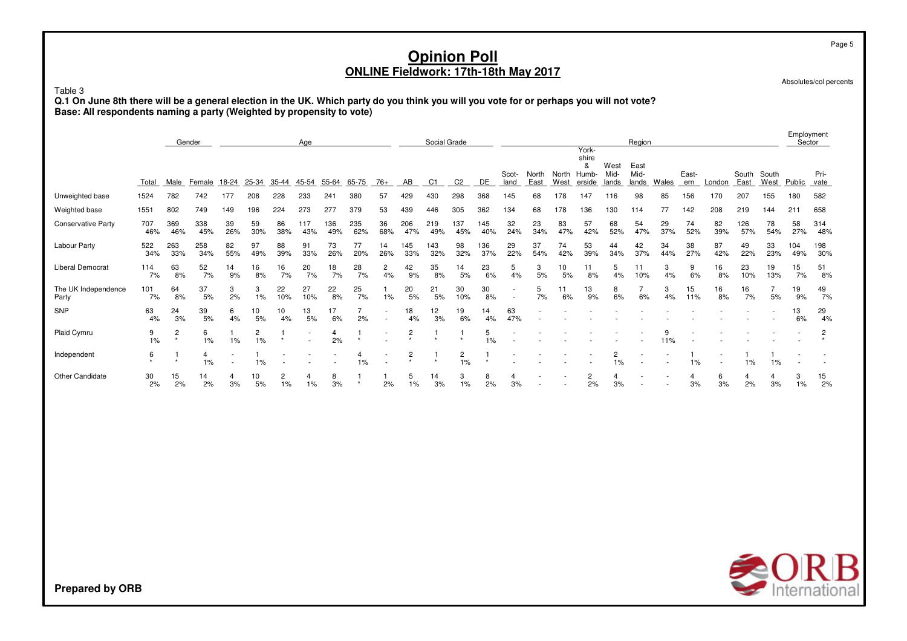Absolutes/col percents

Page 5

Table 3

 **Q.1 On June 8th there will be a general election in the UK. Which party do you think you will you vote for or perhaps you will not vote? Base: All respondents naming a party (Weighted by propensity to vote)**

|                              |            |              | Gender     |           |            |           | Age        |                      |            |           |            | Social Grade |                      |            |               |               |                     |                     |              | Region       |           |              |           |               |               |            | Employment<br>Sector |
|------------------------------|------------|--------------|------------|-----------|------------|-----------|------------|----------------------|------------|-----------|------------|--------------|----------------------|------------|---------------|---------------|---------------------|---------------------|--------------|--------------|-----------|--------------|-----------|---------------|---------------|------------|----------------------|
|                              |            |              |            |           |            |           |            |                      |            |           |            |              |                      |            |               |               |                     | York-<br>shire<br>& | West<br>Mid- | East<br>Mid- |           |              |           |               |               |            |                      |
|                              | Total      | Male         | Female     | 18-24     | 25-34      | 35-44     | 45-54      | 55-64                | 65-75      | $76+$     | AB         | C1           | C <sub>2</sub>       | DE         | Scot-<br>land | North<br>East | North Humb-<br>West | erside              | lands        | lands        | Wales     | East-<br>ern | London    | South<br>East | South<br>West | Public     | Pri-<br>vate         |
| Unweighted base              | 1524       | 782          | 742        | 177       | 208        | 228       | 233        | 241                  | 380        | 57        | 429        | 430          | 298                  | 368        | 145           | 68            | 178                 | 147                 | 116          | 98           | 85        | 156          | 170       | 207           | 155           | 180        | 582                  |
| Weighted base                | 1551       | 802          | 749        | 149       | 196        | 224       | 273        | 277                  | 379        | 53        | 439        | 446          | 305                  | 362        | 134           | 68            | 178                 | 136                 | 130          | 114          | 77        | 142          | 208       | 219           | 144           | 211        | 658                  |
| <b>Conservative Party</b>    | 707<br>46% | 369<br>46%   | 338<br>45% | 39<br>26% | 59<br>30%  | 86<br>38% | 117<br>43% | 136<br>49%           | 235<br>62% | 36<br>68% | 206<br>47% | 219<br>49%   | 137<br>45%           | 145<br>40% | 32<br>24%     | 23<br>34%     | 83<br>47%           | 57<br>42%           | 68<br>52%    | 54<br>47%    | 29<br>37% | 74<br>52%    | 82<br>39% | 126<br>57%    | 78<br>54%     | 58<br>27%  | 314<br>48%           |
| Labour Party                 | 522<br>34% | 263<br>33%   | 258<br>34% | 82<br>55% | 97<br>49%  | 88<br>39% | 91<br>33%  | 73<br>26%            | 77<br>20%  | 14<br>26% | 145<br>33% | 143<br>32%   | 98<br>32%            | 136<br>37% | 29<br>22%     | 37<br>54%     | 74<br>42%           | 53<br>39%           | 44<br>34%    | 42<br>37%    | 34<br>44% | 38<br>27%    | 87<br>42% | 49<br>22%     | 33<br>23%     | 104<br>49% | 198<br>30%           |
| <b>Liberal Democrat</b>      | 114<br>7%  | 63<br>8%     | 52<br>7%   | 14<br>9%  | 16<br>8%   | 16<br>7%  | 20<br>7%   | 18<br>7%             | 28<br>7%   | 2<br>4%   | 42<br>9%   | 35<br>8%     | 14<br>5%             | 23<br>6%   | 5<br>4%       | 3<br>5%       | 10<br>5%            | 11<br>8%            | 4%           | 11<br>10%    | 3<br>4%   | 9<br>6%      | 16<br>8%  | 23<br>10%     | 19<br>13%     | 15<br>7%   | 51<br>8%             |
| The UK Independence<br>Party | 101<br>7%  | 64<br>8%     | 37<br>5%   | 3<br>2%   | 3<br>$1\%$ | 22<br>10% | 27<br>10%  | 22<br>8%             | 25<br>7%   | 1%        | 20<br>5%   | 21<br>5%     | 30<br>10%            | 30<br>8%   | ٠             | 5<br>7%       | 6%                  | 13<br>9%            | 8<br>6%      | 6%           | 3<br>4%   | 15<br>11%    | 16<br>8%  | 16<br>7%      | 5%            | 19<br>9%   | 49<br>7%             |
| SNP                          | 63<br>4%   | 24<br>3%     | 39<br>5%   | 6<br>4%   | 10<br>5%   | 10<br>4%  | 13<br>5%   | 17<br>6%             | 2%         |           | 18<br>4%   | 12<br>3%     | 19<br>6%             | 14<br>4%   | 63<br>47%     |               |                     |                     |              |              |           |              |           |               |               | 13<br>6%   | 29<br>4%             |
| Plaid Cymru                  | 9<br>1%    | 2<br>$\star$ | 6<br>1%    | 1%        | 2<br>1%    |           |            | $\overline{4}$<br>2% | $\star$    |           | 2          |              |                      | 5<br>1%    |               |               |                     |                     |              |              | 11%       |              |           |               |               |            | $\overline{c}$       |
| Independent                  | 6          | $\star$      | 4<br>1%    | ٠         | 1%         |           |            |                      | 4<br>1%    |           | 2          |              | $\overline{2}$<br>1% | $\star$    |               |               |                     |                     | 1%           |              |           | 1%           |           | 1%            | 1%            |            |                      |
| Other Candidate              | 30<br>2%   | 15<br>2%     | 14<br>2%   | 4<br>3%   | 10<br>5%   | 2<br>1%   | 4<br>1%    | 8<br>3%              | $\star$    | 2%        | 5<br>1%    | 14<br>3%     | 3<br>1%              | 8<br>2%    | 4<br>3%       |               |                     | 2<br>2%             | 3%           |              |           | 4<br>3%      | 6<br>3%   | 4<br>2%       | 4<br>3%       | 3<br>1%    | 15<br>2%             |

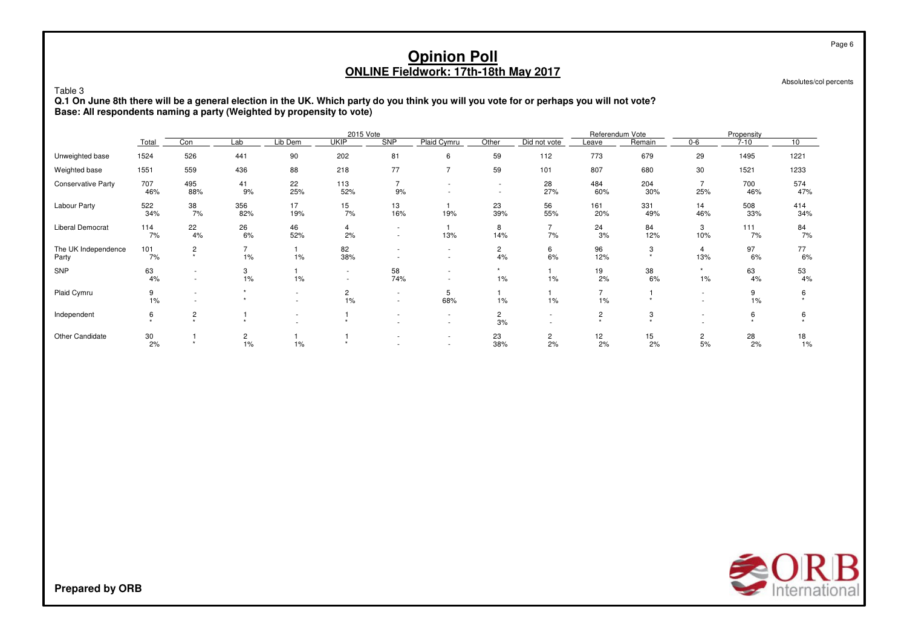Absolutes/col percents

Table 3

 **Q.1 On June 8th there will be a general election in the UK. Which party do you think you will you vote for or perhaps you will not vote? Base: All respondents naming a party (Weighted by propensity to vote)**

|                              |                  |                                        |                      |           | 2015 Vote                                            |                  |                |                          |                      | Referendum Vote |                |                      | Propensity |            |
|------------------------------|------------------|----------------------------------------|----------------------|-----------|------------------------------------------------------|------------------|----------------|--------------------------|----------------------|-----------------|----------------|----------------------|------------|------------|
|                              | Total            | Con                                    | Lab                  | Lib Dem   | <b>UKIP</b>                                          | <b>SNP</b>       | Plaid Cymru    | Other                    | Did not vote         | Leave           | Remain         | $0 - 6$              | $7 - 10$   | 10         |
| Unweighted base              | 1524             | 526                                    | 441                  | 90        | 202                                                  | 81               | 6              | 59                       | 112                  | 773             | 679            | 29                   | 1495       | 1221       |
| Weighted base                | 1551             | 559                                    | 436                  | 88        | 218                                                  | 77               | $\overline{7}$ | 59                       | 101                  | 807             | 680            | 30                   | 1521       | 1233       |
| <b>Conservative Party</b>    | 707<br>46%       | 495<br>88%                             | 41<br>9%             | 22<br>25% | 113<br>52%                                           | 9%               |                | $\overline{\phantom{a}}$ | 28<br>27%            | 484<br>60%      | 204<br>30%     | 25%                  | 700<br>46% | 574<br>47% |
| Labour Party                 | 522<br>34%       | 38<br>7%                               | 356<br>82%           | 17<br>19% | 15<br>7%                                             | 13<br>16%        | 19%            | 23<br>39%                | 56<br>55%            | 161<br>20%      | 331<br>49%     | 14<br>46%            | 508<br>33% | 414<br>34% |
| <b>Liberal Democrat</b>      | 114<br>7%        | 22<br>4%                               | 26<br>6%             | 46<br>52% | 4<br>2%                                              | ۰<br>$\sim$      | 13%            | 8<br>14%                 | 7%                   | 24<br>3%        | 84<br>12%      | 3<br>10%             | 111<br>7%  | 84<br>7%   |
| The UK Independence<br>Party | 101<br>7%        | $\overline{c}$<br>$\ddot{\phantom{1}}$ | $\overline{7}$<br>1% | 1%        | 82<br>38%                                            |                  | $\sim$         | 2<br>4%                  | 6<br>6%              | 96<br>12%       | 3<br>$\ddot{}$ | 4<br>13%             | 97<br>6%   | 77<br>6%   |
| SNP                          | 63<br>4%         | $\overline{\phantom{a}}$<br>٠          | 3<br>1%              | 1%        | $\overline{\phantom{a}}$<br>$\overline{\phantom{a}}$ | 58<br>74%        | $\sim$         | 1%                       | 1%                   | 19<br>2%        | 38<br>6%       | $\star$<br>1%        | 63<br>4%   | 53<br>4%   |
| Plaid Cymru                  | 9<br>1%          | $\overline{\phantom{a}}$               | ٠<br>$\ddot{}$       | ۰.        | $\overline{2}$<br>1%                                 | $\sim$<br>$\sim$ | 5<br>68%       | 1%                       | 1%                   | $1\%$           |                |                      | 9<br>1%    |            |
| Independent                  | 6                | $\overline{c}$                         |                      |           |                                                      |                  | $\sim$         | 2<br>3%                  | ۰.                   | $\overline{2}$  | 3              |                      | 6          | 6          |
| Other Candidate              | $\frac{30}{2\%}$ |                                        | $\overline{2}$<br>1% | 1%        |                                                      |                  |                | 23<br>38%                | $\overline{c}$<br>2% | 12<br>2%        | 15<br>2%       | $\overline{c}$<br>5% | 28<br>2%   | 18<br>1%   |

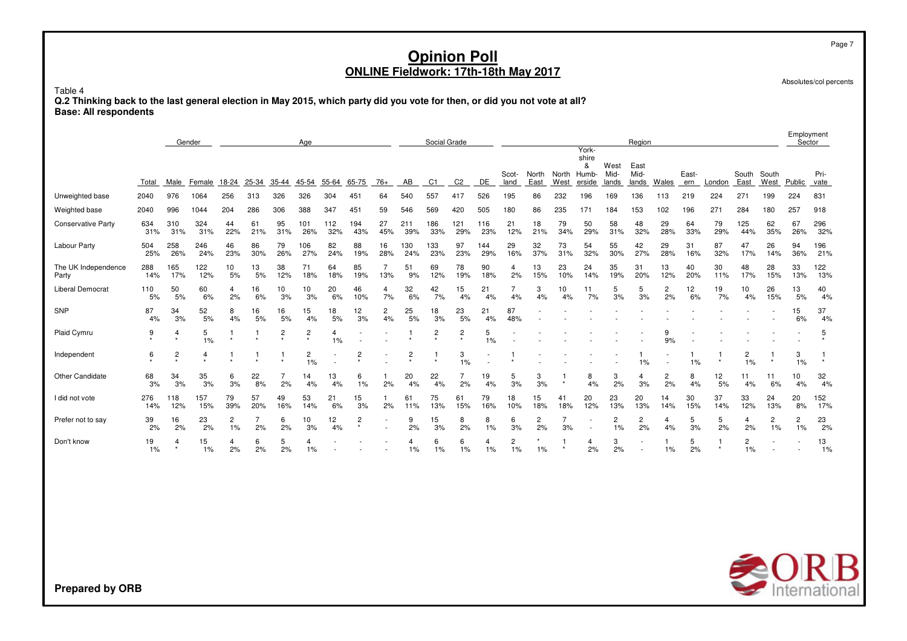Absolutes/col percents

Page 7

Table 4 **Q.2 Thinking back to the last general election in May 2015, which party did you vote for then, or did you not vote at all? Base: All respondents**

|                              |            |                | Gender      |                      |           |                | Age                  |                          |              |                      |                | Social Grade   |                           |            |                      |               |                      | York-                         |                       | Region                |                      |              |           |                      |                      | Employment<br>Sector |              |
|------------------------------|------------|----------------|-------------|----------------------|-----------|----------------|----------------------|--------------------------|--------------|----------------------|----------------|----------------|---------------------------|------------|----------------------|---------------|----------------------|-------------------------------|-----------------------|-----------------------|----------------------|--------------|-----------|----------------------|----------------------|----------------------|--------------|
|                              | Total      | Male           | Female      | 18-24                | 25-34     | 35-44          | 45-54                | 55-64                    | 65-75        | $76+$                | AB             | C <sub>1</sub> | C <sub>2</sub>            | DE         | Scot-<br>land        | North<br>East | North<br>West        | shire<br>&<br>Humb-<br>erside | West<br>Mid-<br>lands | East<br>Mid-<br>lands | Wales                | East-<br>ern | London    | South<br>East        | South<br>West        | Public               | Pri-<br>vate |
| Unweighted base              | 2040       | 976            | 1064        | 256                  | 313       | 326            | 326                  | 304                      | 451          | 64                   | 540            | 557            | 417                       | 526        | 195                  | 86            | 232                  | 196                           | 169                   | 136                   | 113                  | 219          | 224       | 27                   | 199                  | 224                  | 831          |
| Weighted base                | 2040       | 996            | 1044        | 204                  | 286       | 306            | 388                  | 347                      | 451          | 59                   | 546            | 569            | 420                       | 505        | 180                  | 86            | 235                  | 171                           | 184                   | 153                   | 102                  | 196          | 271       | 284                  | 180                  | 257                  | 918          |
| <b>Conservative Party</b>    | 634<br>31% | 310<br>31%     | 324<br>31%  | 44<br>22%            | 61<br>21% | 95<br>31%      | 101<br>26%           | 112<br>32%               | 194<br>43%   | 27<br>45%            | 211<br>39%     | 186<br>33%     | 121<br>29%                | 116<br>23% | 21<br>12%            | 18<br>21%     | 79<br>34%            | 50<br>29%                     | 58<br>31%             | 48<br>32%             | 29<br>28%            | 64<br>33%    | 79<br>29% | 125<br>44%           | 62<br>35%            | 67<br>26%            | 296<br>32%   |
| Labour Party                 | 504<br>25% | 258<br>26%     | 246<br>24%  | 46<br>23%            | 86<br>30% | 79<br>26%      | 106<br>27%           | 82<br>24%                | 88<br>19%    | 16<br>28%            | 130<br>24%     | 133<br>23%     | 97<br>23%                 | 144<br>29% | 29<br>16%            | 32<br>37%     | 73<br>31%            | 54<br>32%                     | 55<br>30%             | 42<br>27%             | 29<br>28%            | 31<br>16%    | 87<br>32% | 47<br>17%            | 26<br>14%            | 94<br>36%            | 196<br>21%   |
| The UK Independence<br>Party | 288<br>14% | 165<br>17%     | 122<br>12%  | 10<br>5%             | 13<br>5%  | 38<br>12%      | 71<br>18%            | 64<br>18%                | 85<br>19%    | 13%                  | 51<br>9%       | 69<br>12%      | 78<br>19%                 | 90<br>18%  | $\overline{4}$<br>2% | 13<br>15%     | 23<br>10%            | 24<br>14%                     | 35<br>19%             | 31<br>20%             | 13<br>12%            | 40<br>20%    | 30<br>11% | 48<br>17%            | 28<br>15%            | 33<br>13%            | 122<br>13%   |
| <b>Liberal Democrat</b>      | 110<br>5%  | 50<br>5%       | 60<br>6%    | 4<br>2%              | 16<br>6%  | 10<br>3%       | 10<br>3%             | 20<br>6%                 | 46<br>10%    | 4<br>7%              | 32<br>6%       | 42<br>7%       | 15<br>4%                  | 21<br>4%   | 4%                   | 3<br>4%       | 10<br>4%             | 11<br>7%                      | 5<br>3%               | 5<br>3%               | $\overline{2}$<br>2% | 12<br>6%     | 19<br>7%  | 10<br>4%             | 26<br>15%            | 13<br>5%             | 40<br>4%     |
| SNP                          | 87<br>4%   | 34<br>3%       | 52<br>5%    | 8<br>4%              | 16<br>5%  | 16<br>5%       | 15<br>4%             | 18<br>5%                 | 12<br>3%     | $\overline{c}$<br>4% | 25<br>5%       | 18<br>3%       | 23<br>5%                  | 21<br>4%   | 87<br>48%            |               |                      |                               |                       |                       |                      |              |           |                      |                      | 15<br>6%             | 37<br>4%     |
| Plaid Cymru                  | 9          | 4              | 5<br>1%     |                      |           | $\overline{c}$ | $\overline{c}$       | 4<br>1%                  |              |                      |                | $\overline{c}$ | $\overline{c}$<br>$\star$ | 5<br>1%    |                      |               |                      |                               |                       |                       | 9<br>9%              |              |           |                      |                      |                      | 5            |
| Independent                  | 6          | $\overline{c}$ | 4           |                      |           |                | $\overline{c}$<br>1% | $\overline{\phantom{a}}$ | 2            |                      | $\overline{c}$ | $\star$        | 3<br>1%                   |            |                      |               |                      |                               |                       | 1%                    |                      | 1%           |           | $\overline{2}$<br>1% | $\star$              | 3<br>1%              | $\star$      |
| Other Candidate              | 68<br>3%   | 34<br>3%       | 35<br>3%    | 6<br>3%              | 22<br>8%  | 2%             | 14<br>4%             | 13<br>4%                 | 6<br>1%      | 2%                   | 20<br>4%       | 22<br>4%       | 7<br>2%                   | 19<br>4%   | 5<br>3%              | 3<br>3%       | $\star$              | 8<br>4%                       | 3<br>2%               | 4<br>3%               | $\overline{2}$<br>2% | 8<br>4%      | 12<br>5%  | 11<br>4%             | 11<br>6%             | 10<br>4%             | 32<br>4%     |
| I did not vote               | 276<br>14% | 118<br>12%     | 157<br>15%  | 79<br>39%            | 57<br>20% | 49<br>16%      | 53<br>14%            | 21<br>6%                 | 15<br>3%     | 2%                   | 61<br>11%      | 75<br>13%      | 61<br>15%                 | 79<br>16%  | 18<br>10%            | 15<br>18%     | 41<br>18%            | 20<br>12%                     | 23<br>13%             | 20<br>13%             | 14<br>14%            | 30<br>15%    | 37<br>14% | 33<br>12%            | 24<br>13%            | 20<br>8%             | 152<br>17%   |
| Prefer not to say            | 39<br>2%   | 16<br>2%       | 23<br>2%    | $\overline{c}$<br>1% | 2%        | 6<br>2%        | 10<br>3%             | 12<br>4%                 | 2<br>$\star$ |                      | 9<br>2%        | 15<br>3%       | 8<br>2%                   | 8<br>1%    | 6<br>3%              | 2<br>2%       | $\overline{7}$<br>3% |                               | $\overline{c}$<br>1%  | $\overline{c}$<br>2%  | 4%                   | 5<br>3%      | 5<br>2%   | 4<br>2%              | $\overline{c}$<br>1% | $\overline{c}$<br>1% | 23<br>2%     |
| Don't know                   | 19<br>1%   | 4              | 15<br>$1\%$ | 4<br>2%              | 6<br>2%   | 5<br>2%        | 1%                   |                          |              |                      | 4<br>$1\%$     | 6<br>1%        | 6<br>1%                   | $1\%$      | $\overline{c}$<br>1% | 1%            |                      | 4<br>2%                       | 3<br>2%               |                       | 1%                   | 5<br>2%      |           | $\overline{2}$<br>1% |                      |                      | 13<br>1%     |

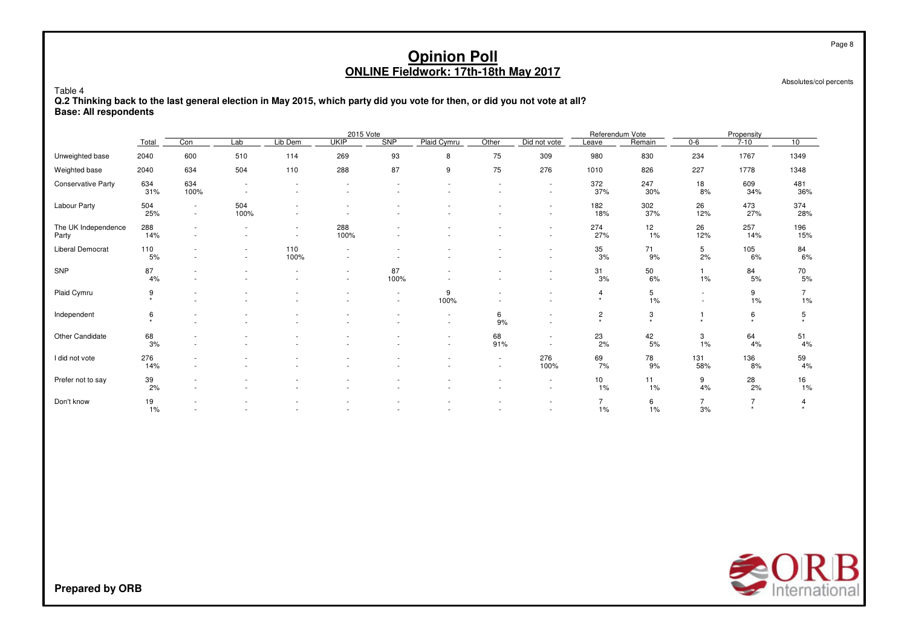Absolutes/col percents

Page 8

Table 4 **Q.2 Thinking back to the last general election in May 2015, which party did you vote for then, or did you not vote at all? Base: All respondents**

|                              |            |                                                      |                  |                          | 2015 Vote                          |            |             |           |                                                      | Referendum Vote                        |            |                          | Propensity                |                      |
|------------------------------|------------|------------------------------------------------------|------------------|--------------------------|------------------------------------|------------|-------------|-----------|------------------------------------------------------|----------------------------------------|------------|--------------------------|---------------------------|----------------------|
|                              | Total      | Con                                                  | Lab              | Lib Dem                  | <b>UKIP</b>                        | <b>SNP</b> | Plaid Cymru | Other     | Did not vote                                         | Leave                                  | Remain     | $0 - 6$                  | $7 - 10$                  | 10                   |
| Unweighted base              | 2040       | 600                                                  | 510              | 114                      | 269                                | 93         | 8           | 75        | 309                                                  | 980                                    | 830        | 234                      | 1767                      | 1349                 |
| Weighted base                | 2040       | 634                                                  | 504              | 110                      | 288                                | 87         | 9           | 75        | 276                                                  | 1010                                   | 826        | 227                      | 1778                      | 1348                 |
| <b>Conservative Party</b>    | 634<br>31% | 634<br>100%                                          | $\sim$<br>$\sim$ |                          | ٠<br>٠                             |            | ٠           |           | $\sim$<br>$\sim$                                     | 372<br>37%                             | 247<br>30% | 18<br>8%                 | 609<br>34%                | 481<br>36%           |
| Labour Party                 | 504<br>25% | $\overline{\phantom{a}}$<br>$\overline{\phantom{a}}$ | 504<br>100%      |                          |                                    |            |             |           | $\overline{\phantom{a}}$                             | 182<br>18%                             | 302<br>37% | 26<br>12%                | 473<br>27%                | 374<br>28%           |
| The UK Independence<br>Party | 288<br>14% | ٠<br>٠                                               | $\sim$           | $\overline{\phantom{a}}$ | 288<br>100%                        |            |             |           |                                                      | 274<br>27%                             | 12<br>1%   | 26<br>12%                | 257<br>14%                | 196<br>15%           |
| Liberal Democrat             | 110<br>5%  | ٠                                                    | $\sim$<br>$\sim$ | 110<br>100%              | ٠<br>$\overline{\phantom{a}}$      |            | ٠           |           | $\sim$                                               | 35<br>3%                               | 71<br>9%   | 5<br>2%                  | 105<br>6%                 | 84<br>6%             |
| SNP                          | 87<br>4%   | ٠                                                    |                  |                          | $\overline{\phantom{a}}$<br>$\sim$ | 87<br>100% |             |           | $\overline{\phantom{a}}$<br>$\overline{\phantom{a}}$ | 31<br>3%                               | 50<br>6%   | 1%                       | 84<br>5%                  | 70<br>5%             |
| Plaid Cymru                  | 9          | $\overline{\phantom{a}}$                             |                  |                          | $\overline{\phantom{a}}$           | $\sim$     | 9<br>100%   |           | $\overline{\phantom{a}}$                             | $\overline{4}$<br>$\star$              | 5<br>1%    | $\overline{\phantom{a}}$ | 9<br>1%                   | $\overline{7}$<br>1% |
| Independent                  | 6          | ٠                                                    |                  |                          |                                    |            | ٠           | 6<br>9%   | $\overline{\phantom{a}}$                             | $\overline{c}$<br>$\ddot{\phantom{1}}$ | 3<br>٠     |                          | 6<br>$\ddot{\phantom{1}}$ | 5                    |
| Other Candidate              | 68<br>3%   |                                                      |                  |                          |                                    |            | ٠           | 68<br>91% |                                                      | 23<br>2%                               | 42<br>5%   | 3<br>1%                  | 64<br>4%                  | 51<br>4%             |
| I did not vote               | 276<br>14% | ٠<br>٠                                               |                  |                          |                                    |            |             | ٠<br>٠    | 276<br>100%                                          | 69<br>7%                               | 78<br>9%   | 131<br>58%               | 136<br>8%                 | 59<br>4%             |
| Prefer not to say            | 39<br>2%   |                                                      |                  |                          |                                    |            |             |           | $\overline{\phantom{a}}$<br>$\overline{\phantom{a}}$ | 10<br>1%                               | 11<br>1%   | 9<br>4%                  | 28<br>2%                  | 16<br>1%             |
| Don't know                   | 19<br>1%   |                                                      |                  |                          | ٠                                  |            |             |           |                                                      | 1%                                     | 6<br>1%    | 3%                       |                           | 4                    |

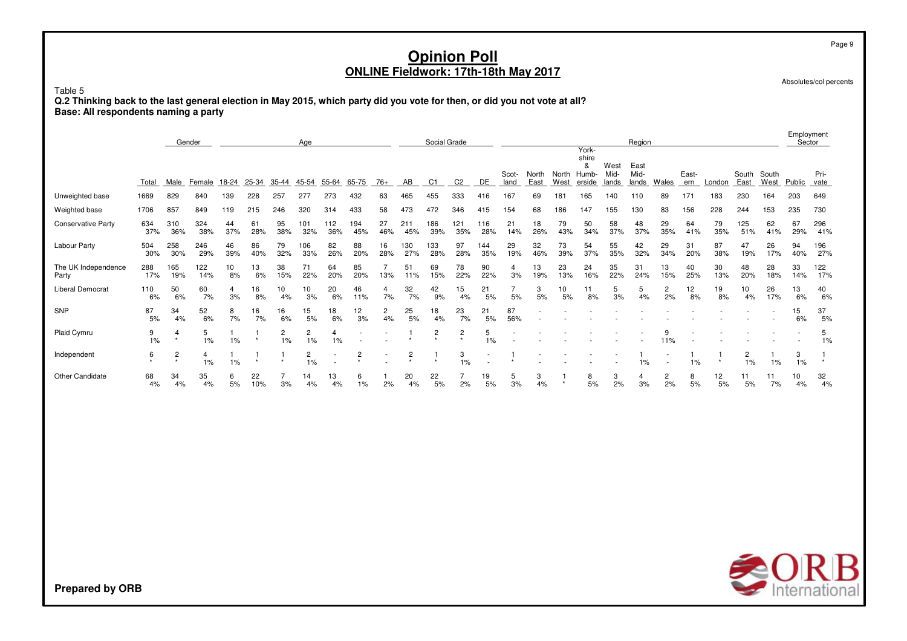Absolutes/col percents

Table 5 **Q.2 Thinking back to the last general election in May 2015, which party did you vote for then, or did you not vote at all? Base: All respondents naming a party**

|                              | Gender<br>Age |                           |            |           |           |           |            |            |                                    |           |            | Social Grade   |                |            |                      |               |               |                                       |                       | Region                |                      |              |           |               |           | Employment<br>Sector |              |
|------------------------------|---------------|---------------------------|------------|-----------|-----------|-----------|------------|------------|------------------------------------|-----------|------------|----------------|----------------|------------|----------------------|---------------|---------------|---------------------------------------|-----------------------|-----------------------|----------------------|--------------|-----------|---------------|-----------|----------------------|--------------|
|                              | Total         | Male                      | Female     | 18-24     | 25-34     | 35-44     | 45-54      | 55-64      | 65-75                              | 76+       | AB         | C1             | C2             | DE         | Scot-<br>land        | North<br>East | North<br>West | York-<br>shire<br>&<br>Humb<br>erside | West<br>Mid-<br>lands | East<br>Mid-<br>lands | Wales                | East-<br>ern | London    | South<br>East | South     | West Public          | Pri-<br>vate |
| Unweighted base              | 1669          | 829                       | 840        | 139       | 228       | 257       | 277        | 273        | 432                                | 63        | 465        | 455            | 333            | 416        | 167                  | 69            | 181           | 165                                   | 140                   | 110                   | 89                   | 171          | 183       | 230           | 164       | 203                  | 649          |
| Weighted base                | 1706          | 857                       | 849        | 119       | 215       | 246       | 320        | 314        | 433                                | 58        | 473        | 472            | 346            | 415        | 154                  | 68            | 186           | 147                                   | 155                   | 130                   | 83                   | 156          | 228       | 244           | 153       | 235                  | 730          |
| <b>Conservative Party</b>    | 634<br>37%    | 310<br>36%                | 324<br>38% | 44<br>37% | 61<br>28% | 95<br>38% | 101<br>32% | 112<br>36% | 194<br>45%                         | 27<br>46% | 211<br>45% | 186<br>39%     | 121<br>35%     | 116<br>28% | 21<br>14%            | 18<br>26%     | 79<br>43%     | 50<br>34%                             | 58<br>37%             | 48<br>37%             | 29<br>35%            | 64<br>41%    | 79<br>35% | 125<br>51%    | 62<br>41% | 67<br>29%            | 296<br>41%   |
| Labour Party                 | 504<br>30%    | 258<br>30%                | 246<br>29% | 46<br>39% | 86<br>40% | 79<br>32% | 106<br>33% | 82<br>26%  | 88<br>20%                          | 16<br>28% | 130<br>27% | 133<br>28%     | 97<br>28%      | 144<br>35% | 29<br>19%            | 32<br>46%     | 73<br>39%     | 54<br>37%                             | 55<br>35%             | 42<br>32%             | 29<br>34%            | 31<br>20%    | 87<br>38% | 47<br>19%     | 26<br>17% | 94<br>40%            | 196<br>27%   |
| The UK Independence<br>Party | 288<br>17%    | 165<br>19%                | 122<br>14% | 10<br>8%  | 13<br>6%  | 38<br>15% | 71<br>22%  | 64<br>20%  | 85<br>20%                          | 13%       | 51<br>11%  | 69<br>15%      | 78<br>22%      | 90<br>22%  | 4<br>3%              | 13<br>19%     | 23<br>13%     | 24<br>16%                             | 35<br>22%             | 31<br>24%             | 13<br>15%            | 40<br>25%    | 30<br>13% | 48<br>20%     | 28<br>18% | 33<br>14%            | 122<br>17%   |
| Liberal Democrat             | 110<br>6%     | 50<br>6%                  | 60<br>7%   | 4<br>3%   | 16<br>8%  | 10<br>4%  | 10<br>3%   | 20<br>6%   | 46<br>11%                          | 7%        | 32<br>7%   | 42<br>9%       | 15<br>4%       | 21<br>5%   | $\overline{7}$<br>5% | 3<br>5%       | 10<br>5%      | 8%                                    | 3%                    | 5<br>4%               | $\overline{c}$<br>2% | 12<br>8%     | 19<br>8%  | 10<br>4%      | 26<br>17% | 13<br>6%             | 40<br>6%     |
| SNP                          | 87<br>5%      | 34<br>4%                  | 52<br>6%   | 8<br>7%   | 16<br>7%  | 16<br>6%  | 15<br>5%   | 18<br>6%   | 12<br>3%                           | 2<br>4%   | 25<br>5%   | 18<br>4%       | 23<br>7%       | 21<br>5%   | 87<br>56%            |               |               |                                       |                       |                       |                      |              |           |               |           | 15<br>6%             | 37<br>5%     |
| Plaid Cymru                  | 9<br>1%       | $\overline{4}$            | 5<br>1%    | 1%        |           | 2<br>1%   | 2<br>1%    | 4<br>1%    |                                    |           |            | $\overline{c}$ | $\overline{c}$ | 5<br>1%    |                      |               |               |                                       |                       |                       | 11%                  |              |           |               |           |                      | 5<br>1%      |
| Independent                  | 6             | $\overline{c}$<br>$\star$ | 4<br>1%    | 1%        |           |           | 2<br>1%    |            | $\overline{\mathbf{c}}$<br>$\star$ |           | 2          |                | 3<br>1%        |            |                      |               |               |                                       |                       | 1%                    |                      | 1%           | $\star$   | 2<br>1%       | 1%        | 3<br>1%              | $\star$      |
| <b>Other Candidate</b>       | 68<br>4%      | 34<br>4%                  | 35<br>4%   | 6<br>5%   | 22<br>10% | 3%        | 14<br>4%   | 13<br>4%   | 6<br>1%                            | 2%        | 20<br>4%   | 22<br>5%       | 2%             | 19<br>5%   | 5<br>3%              | 3<br>4%       | $\star$       | 8<br>5%                               | 3<br>2%               | 4<br>3%               | 2<br>2%              | 8<br>5%      | 12<br>5%  | 11<br>5%      | 11<br>7%  | 10<br>4%             | 32<br>4%     |



**Prepared by ORB**

Page 9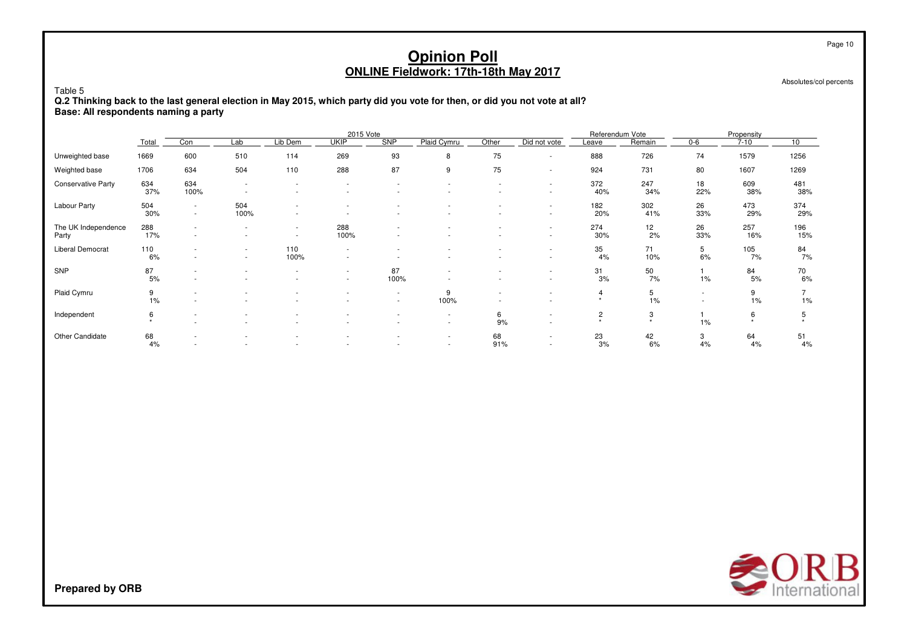Absolutes/col percents

Table 5 **Q.2 Thinking back to the last general election in May 2015, which party did you vote for then, or did you not vote at all? Base: All respondents naming a party**

|                              |              |                  |                                    |                                                      | 2015 Vote        |                  |                                    |           |                                                      | Referendum Vote |              |              | Propensity |            |
|------------------------------|--------------|------------------|------------------------------------|------------------------------------------------------|------------------|------------------|------------------------------------|-----------|------------------------------------------------------|-----------------|--------------|--------------|------------|------------|
|                              | Total        | Con              | Lab                                | Lib Dem                                              | <b>UKIP</b>      | <b>SNP</b>       | Plaid Cymru                        | Other     | Did not vote                                         | Leave           | Remain       | $0 - 6$      | $7 - 10$   | 10         |
| Unweighted base              | 1669         | 600              | 510                                | 114                                                  | 269              | 93               | 8                                  | 75        | $\sim$                                               | 888             | 726          | 74           | 1579       | 1256       |
| Weighted base                | 1706         | 634              | 504                                | 110                                                  | 288              | 87               | 9                                  | 75        | $\sim$                                               | 924             | 731          | 80           | 1607       | 1269       |
| <b>Conservative Party</b>    | 634<br>37%   | 634<br>100%      | $\sim$<br>$\overline{\phantom{a}}$ | $\overline{\phantom{a}}$<br>$\overline{\phantom{a}}$ | $\sim$           | $\sim$           | ۰<br>$\overline{\phantom{a}}$      |           | $\sim$<br>$\sim$                                     | 372<br>40%      | 247<br>34%   | 18<br>22%    | 609<br>38% | 481<br>38% |
| Labour Party                 | 504<br>30%   | $\sim$<br>$\sim$ | 504<br>100%                        | ٠<br>$\overline{\phantom{a}}$                        |                  |                  |                                    |           | $\overline{\phantom{a}}$<br>$\overline{\phantom{a}}$ | 182<br>20%      | 302<br>41%   | 26<br>33%    | 473<br>29% | 374<br>29% |
| The UK Independence<br>Party | 288<br>17%   | ۰.<br>۰.         | $\sim$<br>$\overline{\phantom{a}}$ | $\sim$<br>$\overline{\phantom{a}}$                   | 288<br>100%      |                  |                                    |           | $\sim$<br>$\sim$                                     | 274<br>30%      | 12<br>2%     | 26<br>33%    | 257<br>16% | 196<br>15% |
| Liberal Democrat             | 110<br>6%    | $\sim$           | $\sim$<br>$\sim$                   | 110<br>100%                                          | ۰.<br>۰          |                  |                                    |           | $\sim$<br>$\overline{\phantom{a}}$                   | 35<br>4%        | 71<br>10%    | 5<br>6%      | 105<br>7%  | 84<br>7%   |
| SNP                          | 87<br>5%     | ۰<br>٠           | $\overline{\phantom{a}}$           | $\overline{\phantom{a}}$<br>٠                        | $\sim$<br>$\sim$ | 87<br>100%       | $\overline{\phantom{a}}$           |           | $\overline{\phantom{a}}$<br>$\overline{\phantom{a}}$ | 31<br>3%        | 50<br>7%     | 1%           | 84<br>5%   | 70<br>6%   |
| Plaid Cymru                  | 9<br>1%      |                  | $\sim$                             | ٠                                                    | ۰.               | $\sim$<br>$\sim$ | 9<br>100%                          |           | $\overline{\phantom{a}}$                             | $\star$         | 5<br>1%      | $\sim$<br>٠. | 9<br>1%    | 1%         |
| Independent                  | 6<br>$\star$ | $\sim$           |                                    | ٠                                                    |                  | $\sim$           | $\sim$<br>$\overline{\phantom{a}}$ | 6<br>9%   | $\overline{\phantom{a}}$                             | $\overline{2}$  | 3<br>$\star$ | 1%           | 6          | 5          |
| Other Candidate              | 68<br>4%     |                  | $\overline{\phantom{a}}$<br>$\sim$ | $\overline{\phantom{a}}$                             | $\sim$           | $\sim$           | ۰<br>$\sim$                        | 68<br>91% |                                                      | 23<br>3%        | 42<br>6%     | 3<br>4%      | 64<br>4%   | 51<br>4%   |

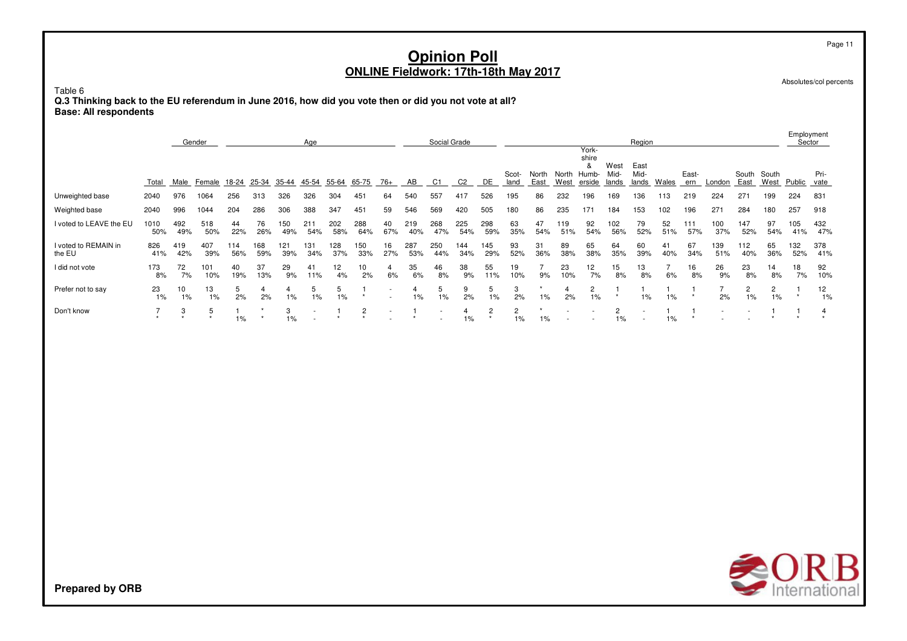Absolutes/col percents

Page 11

Table 6 **Q.3 Thinking back to the EU referendum in June 2016, how did you vote then or did you not vote at all? Base: All respondents**

|                                | Gender<br>Age |            |             |            |            |            |            |            |            |                          |            | Social Grade |            |            |               |               |               |                                        |                       | Region                |           |              |            |               |                         | Employment<br>Sector |              |
|--------------------------------|---------------|------------|-------------|------------|------------|------------|------------|------------|------------|--------------------------|------------|--------------|------------|------------|---------------|---------------|---------------|----------------------------------------|-----------------------|-----------------------|-----------|--------------|------------|---------------|-------------------------|----------------------|--------------|
|                                | Total         |            | Male Female | 18-24      | 25-34      | 35-44      | 45-54      | 55-64      | 65-75      | 76+                      | AB         | C1           | C2         | DE         | Scot-<br>land | North<br>East | North<br>West | York-<br>shire<br>&<br>Humb-<br>erside | West<br>Mid-<br>lands | East<br>Mid-<br>lands | Wales     | East-<br>ern | London     | South<br>East | South<br>West           | Public               | Pri-<br>vate |
| Unweighted base                | 2040          | 976        | 1064        | 256        | 313        | 326        | 326        | 304        | 451        | 64                       | 540        | 557          | 417        | 526        | 195           | 86            | 232           | 196                                    | 169                   | 136                   | 113       | 219          | 224        | 271           | 199                     | 224                  | 831          |
| Weighted base                  | 2040          | 996        | 1044        | 204        | 286        | 306        | 388        | 347        | 451        | 59                       | 546        | 569          | 420        | 505        | 180           | 86            | 235           | 171                                    | 184                   | 153                   | 102       | 196          | 271        | 284           | 180                     | 257                  | 918          |
| I voted to LEAVE the EU        | 1010<br>50%   | 492<br>49% | 518<br>50%  | 44<br>22%  | 76<br>26%  | 150<br>49% | 211<br>54% | 202<br>58% | 288<br>64% | 40<br>67%                | 219<br>40% | 268<br>47%   | 225<br>54% | 298<br>59% | 63<br>35%     | 47<br>54%     | 19<br>51%     | 92<br>54%                              | 102<br>56%            | 79<br>52%             | 52<br>51% | 111<br>57%   | 100<br>37% | 147<br>52%    | 97<br>54%               | 105<br>41%           | 432<br>47%   |
| I voted to REMAIN in<br>the EU | 826<br>41%    | 419<br>42% | 407<br>39%  | 114<br>56% | 168<br>59% | 121<br>39% | 131<br>34% | 128<br>37% | 150<br>33% | 16<br>27%                | 287<br>53% | 250<br>44%   | 144<br>34% | 145<br>29% | 93<br>52%     | 31<br>36%     | 89<br>38%     | 65<br>38%                              | 64<br>35%             | 60<br>39%             | 41<br>40% | 67<br>34%    | 139<br>51% | 112<br>40%    | 65<br>36%               | 132<br>52%           | 378<br>41%   |
| I did not vote                 | 173<br>8%     | 72<br>7%   | 101<br>10%  | 40<br>19%  | 37<br>13%  | 29<br>9%   | 41<br>11%  | 12<br>4%   | 10<br>2%   | 4<br>6%                  | 35<br>6%   | 46<br>8%     | 38<br>9%   | 55<br>11%  | 19<br>10%     | 9%            | 23<br>10%     | 12<br>7%                               | 15<br>8%              | 13<br>8%              | 6%        | 16<br>8%     | 26<br>9%   | 23<br>8%      | 14<br>8%                | 18<br>7%             | 92<br>10%    |
| Prefer not to say              | 23<br>1%      | 10<br>1%   | 13<br>$1\%$ | 5<br>2%    | 2%         | 1%         | 1%         | 5<br>1%    |            |                          | 1%         | b.<br>$1\%$  | 2%         | $1\%$      | 3<br>2%       | 1%            | 2%            | $\overline{2}$<br>1%                   |                       | $1\%$                 | 1%        |              | 2%         | 2<br>1%       | $\overline{c}$<br>$1\%$ |                      | 12<br>$1\%$  |
| Don't know                     |               | 3          | 5           | $1\%$      |            | 3<br>1%    |            |            |            | $\overline{\phantom{a}}$ |            |              | $1\%$      |            | 1%            | 1%            |               |                                        | 1%                    |                       | 1%        |              |            |               |                         |                      |              |

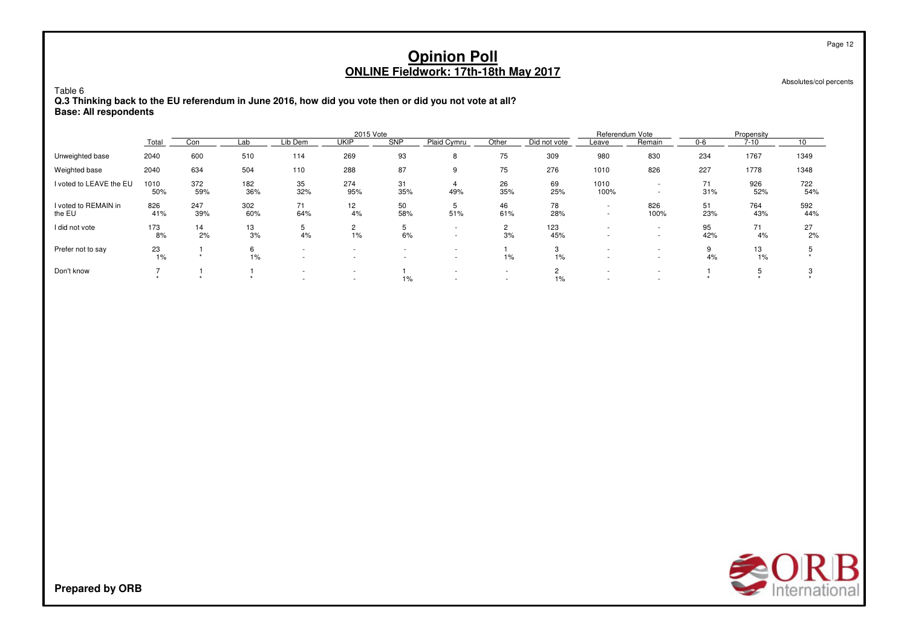Absolutes/col percents

Page 12

Table 6 **Q.3 Thinking back to the EU referendum in June 2016, how did you vote then or did you not vote at all? Base: All respondents**

|                                |             |            |            |                                                      | 2015 Vote                                            |            |             |                               |                         | Referendum Vote                |                                 |           | Propensity |            |
|--------------------------------|-------------|------------|------------|------------------------------------------------------|------------------------------------------------------|------------|-------------|-------------------------------|-------------------------|--------------------------------|---------------------------------|-----------|------------|------------|
|                                | Total       | Con        | Lab        | Lib Dem                                              | UKIP                                                 | <b>SNP</b> | Plaid Cymru | Other                         | Did not vote            | Leave                          | Remain                          | $0 - 6$   | $7 - 10$   | 10         |
| Unweighted base                | 2040        | 600        | 510        | 114                                                  | 269                                                  | 93         | 8           | 75                            | 309                     | 980                            | 830                             | 234       | 1767       | 1349       |
| Weighted base                  | 2040        | 634        | 504        | 110                                                  | 288                                                  | 87         | 9           | 75                            | 276                     | 1010                           | 826                             | 227       | 1778       | 1348       |
| I voted to LEAVE the EU        | 1010<br>50% | 372<br>59% | 182<br>36% | 35<br>32%                                            | 274<br>95%                                           | 31<br>35%  | 49%         | 26<br>35%                     | 69<br>25%               | 1010<br>100%                   | . .                             | 71<br>31% | 926<br>52% | 722<br>54% |
| I voted to REMAIN in<br>the EU | 826<br>41%  | 247<br>39% | 302<br>60% | 71<br>64%                                            | 12 <sup>2</sup><br>4%                                | 50<br>58%  | :C<br>51%   | 46<br>61%                     | 78<br>28%               | ۰.<br>$\overline{\phantom{a}}$ | 826<br>100%                     | 51<br>23% | 764<br>43% | 592<br>44% |
| I did not vote                 | 173<br>8%   | 14<br>2%   | 13<br>3%   | 4%                                                   | $\overline{2}$<br>1%                                 | 6%         |             | $\overline{2}$<br>3%          | 123<br>45%              | ۰.                             | $\overline{\phantom{a}}$<br>. . | 95<br>42% | 71<br>4%   | 27<br>2%   |
| Prefer not to say              | 23<br>$1\%$ |            | 6<br>1%    | $\overline{\phantom{a}}$<br>$\overline{\phantom{a}}$ | $\overline{\phantom{a}}$<br>. .                      |            |             | $1\%$                         | 3<br>1%                 | ۰.                             | . .                             | 9<br>4%   | 13<br>1%   |            |
| Don't know                     |             |            |            | ٠<br>$\overline{\phantom{a}}$                        | $\overline{\phantom{a}}$<br>$\overline{\phantom{a}}$ | 1%         |             | ۰<br>$\overline{\phantom{a}}$ | $\overline{2}$<br>$1\%$ | . .                            |                                 |           |            |            |

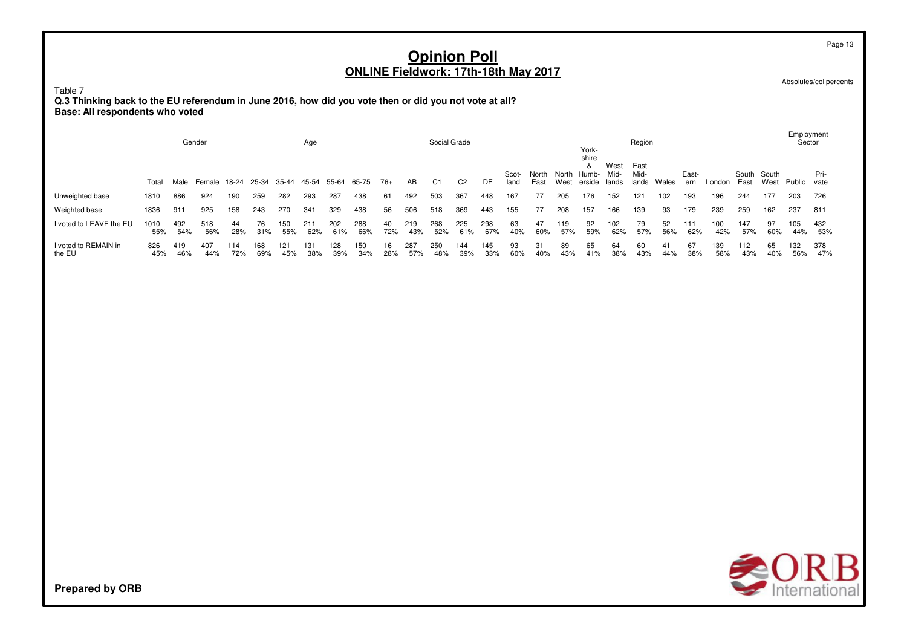Table 7 **Q.3 Thinking back to the EU referendum in June 2016, how did you vote then or did you not vote at all? Base: All respondents who voted**

|                                | Gender<br>Age |            |                         |            |            |                   |                        | Social Grade<br>Region |            |           |            |            |            |            |               |               | Employment<br>Sector |                                              |                       |                       |           |              |            |               |               |             |            |
|--------------------------------|---------------|------------|-------------------------|------------|------------|-------------------|------------------------|------------------------|------------|-----------|------------|------------|------------|------------|---------------|---------------|----------------------|----------------------------------------------|-----------------------|-----------------------|-----------|--------------|------------|---------------|---------------|-------------|------------|
|                                | Total         |            | Male Female 18-24 25-34 |            |            | 35-44 45-54 55-64 |                        |                        | 65-75      | 76+       | AB         | C1         | C2         | DE         | Scot-<br>land | North<br>East | West                 | York-<br>shire<br>&<br>North Humb-<br>erside | West<br>Mid-<br>lands | East<br>Mid-<br>lands | Wales     | East-<br>ern | London     | South<br>East | South<br>West | Public vate | Pri-       |
| Unweighted base                | 1810          | 886        | 924                     | 190        | 259        | 282               | 293                    | 287                    | 438        | 61        | 492        | 503        | 367        | 448        | 167           | 77            | 205                  | 176                                          | 152                   | 121                   | 102       | 193          | 196        | 244           | 177           | 203         | 726        |
| Weighted base                  | 1836          | 911        | 925                     | 158        | 243        | 270               | 341                    | 329                    | 438        | 56        | 506        | 518        | 369        | 443        | 155           | 77            | 208                  | 157                                          | 166                   | 139                   | 93        | 179          | 239        | 259           | 162           | 237         | 811        |
| I voted to LEAVE the EU        | 1010<br>55%   | 492<br>54% | 518<br>56%              | 44<br>28%  | 76<br>31%  | 150<br>55%        | 21 <sup>1</sup><br>62% | 202<br>61%             | 288<br>66% | 40<br>72% | 219<br>43% | 268<br>52% | 225<br>61% | 298<br>67% | 63<br>40%     | 47<br>60%     | 119<br>57%           | 92<br>59%                                    | 102<br>62%            | 79<br>57%             | 52<br>56% | 111<br>62%   | 100<br>42% | 147<br>57%    | 97<br>60%     | 105<br>44%  | 432<br>53% |
| I voted to REMAIN in<br>the EU | 826<br>45%    | 419<br>46% | 407<br>44%              | 114<br>72% | 168<br>69% | 121<br>45%        | 131<br>38%             | 128<br>39%             | 150<br>34% | 16<br>28% | 287<br>57% | 250<br>48% | 144<br>39% | 145<br>33% | 93<br>60%     | 31<br>40%     | 89<br>43%            | 65<br>41%                                    | 64<br>38%             | 60<br>43%             | 41<br>44% | 38%          | 139<br>58% | 112<br>43%    | 65<br>40%     | 132<br>56%  | 378<br>47% |

Absolutes/col percents



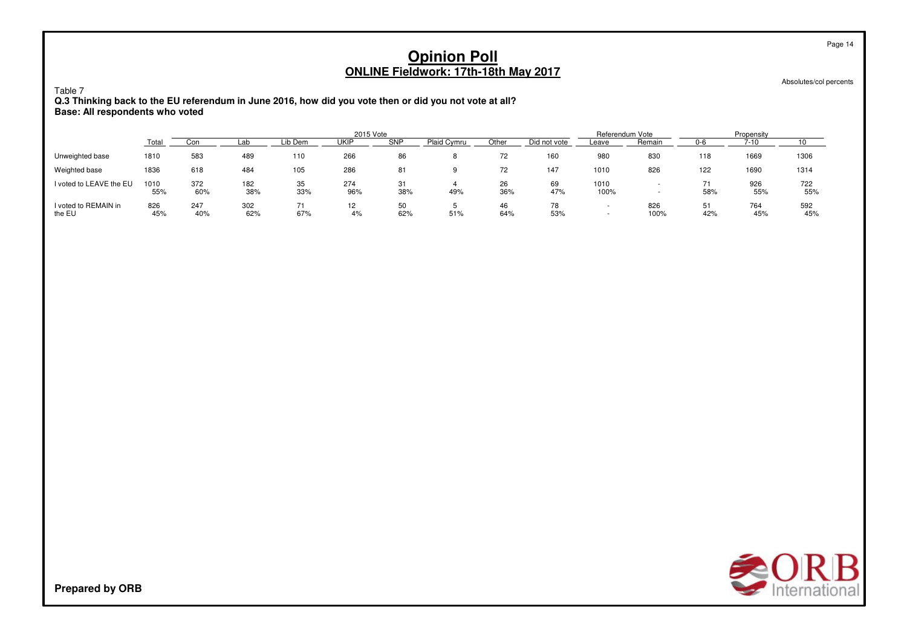Absolutes/col percents

Page 14

Table 7 **Q.3 Thinking back to the EU referendum in June 2016, how did you vote then or did you not vote at all? Base: All respondents who voted**

|                                |             |            |            |           |             | Referendum Vote | Propensity  |           |              |              |             |           |            |            |
|--------------------------------|-------------|------------|------------|-----------|-------------|-----------------|-------------|-----------|--------------|--------------|-------------|-----------|------------|------------|
|                                | Total       |            | .ar        | ∟ib Dem   | <b>UKIP</b> | <b>SNP</b>      | Plaid Cymru | Other     | Did not vote | Leave        | Remain      |           |            |            |
| Unweighted base                | 1810        | 583        | 489        | 110       | 266         | 86              |             | 72        | 160          | 980          | 830         | 118       | 1669       | 1306       |
| Weighted base                  | 1836        | 618        | 484        | 105       | 286         | 81              |             | 72        | 147          | 1010         | 826         | 122       | 1690       | 1314       |
| I voted to LEAVE the EU        | 1010<br>55% | 372<br>60% | 182<br>38% | 35<br>33% | 274<br>96%  | 31<br>38%       | 49%         | 26<br>36% | 69<br>47%    | 1010<br>100% |             | 58%       | 926<br>55% | 722<br>55% |
| I voted to REMAIN in<br>the EU | 826<br>45%  | 247<br>40% | 302<br>62% | 67%       | 4%          | 50<br>62%       | 51%         | 46<br>64% | 78<br>53%    | . .          | 826<br>100% | г.<br>42% | 764<br>45% | 592<br>45% |

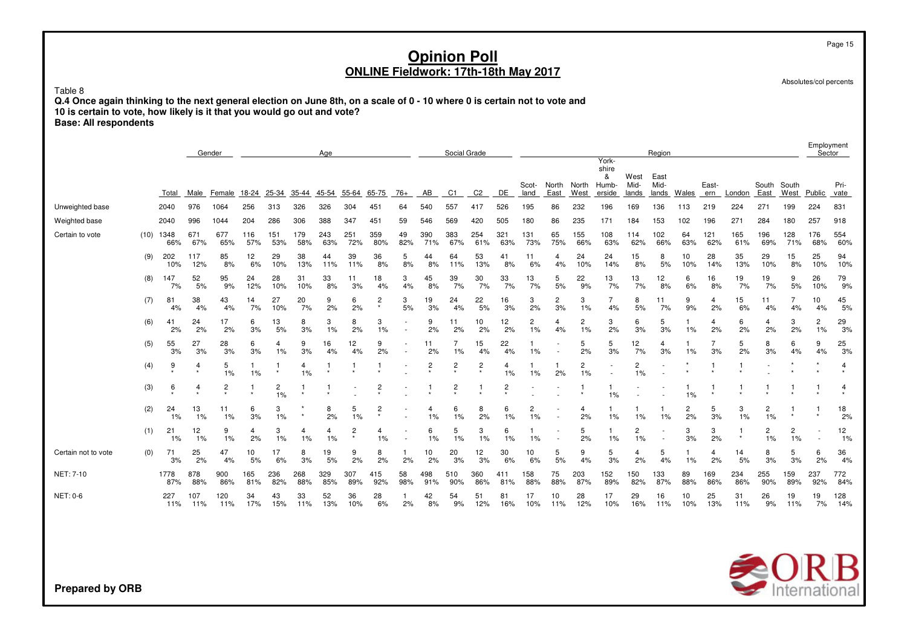Absolutes/col percents

Page 15

**Q.4 Once again thinking to the next general election on June 8th, on a scale of 0 - 10 where 0 is certain not to vote and 10 is certain to vote, how likely is it that you would go out and vote? Base: All respondents**

Employment Gender<u>r — sector and the social Grade Communication Social Grade Communication Sector Sector Sector Sector and Sector</u> Yorkshire &West East<br>Mid- Mid-Scot- North North Humb- Mid- Mid- East- South South Pri-TotalMale Female Female 18-24 25-34 35-44 45-54 55-64 65-75 76+ AB C1 C2 DE land East West erside lands lands Wales ern London East West Public vate Unweighted base 2040 976 1064 256 313 326 326 304 451 64 540 557 417 526 195 86 232 196 169 136 113 219 224 271 199 224 831 Weighted base 2040 996 1044 204 286 306 388 347 451 59 546 569 420 505 180 86 235 171 184 153 102 196 271 284 180 257 918 Certain to vote (10) 1348 671 677 116 151 179 243 251 359 49 390 383 254 321 131 65 155 108 114 102 64 121 165 196 128 176 554 66% 67% 65% 57% 53% 58% 63% 72% 80% 82% 71% 67% 61% 63% 73% 75% 66% 63% 62% 66% 63% 62% 61% 69% 71% 68% 60% (9) 202 117 85 12 29 38 44 39 36 5 44 64 53 41 11 4 24 24 15 8 10 28 35 29 15 25 94 10% 12% 8% 6% 10% 13% 11% 11% 8% 8% 8% 11% 13% 8% 6% 4% 10% 14% 8% 5% 10% 14% 13% 10% 8% 10% 10% (8) 147 52 95 24 28 31 33 11 18 3 45 39 30 33 13 5 22 13 13 12 6 16 19 19 9 26 79 7% 5% 9% 12% 10% 10% 8% 3% 4% 4% 8% 7% 7% 7% 7% 5% 9% 7% 7% 8% 6% 8% 7% 7% 5% 10% 9% (7) 81 38 43 14 27 20 9 6 2 3 19 24 22 16 3 2 3 7 8 11 9 4 15 11 7 10 45 4% 4% 4% 7% 10% 7% 2% 2% \* 5% 3% 4% 5% 3% 2% 3% 1% 4% 5% 7% 9% 2% 6% 4% 4% 4% 5% (6) 41 24 17 6 13 8 3 8 3 - 9 11 10 12 2 4 2 3 6 5 1 4 6 4 3 2 29 2% 2% 2% 3% 5% 3% 1% 2% 1% - 2% 2% 2% 2% 1% 4% 1% 2% 3% 3% 1% 2% 2% 2% 2% 1% 3% (5) 55 27 28 6 4 9 16 12 9 - 11 7 15 22 1 - 5 5 12 4 1 7 5 8 6 9 25 3% 3% 3% 3% 1% 3% 4% 4% 2% - 2% 1% 4% 4% 1% - 2% 3% 7% 3% 1% 3% 2% 3% 4% 4% 3% (4) 9 4 5 1 1 4 1 1 1 - 2 2 2 4 1 1 2 - 2 - \* 1 1 - \* \* 4 1% 1% \* 1% \* \* \* - \* \* \* 1% 1% 2% 1% - 1% - \* \* \* - \* \* \* (3) 6 4 2 1 2 1 1 - 2 - 1 2 1 2 - - 1 1 - - 1 1 1 1 1 1 4 \* $\frac{4}{100}$   $\frac{2}{100}$   $\frac{1}{100}$   $\frac{2}{100}$  \* \* - \* - \* \* \* \* - - \* 1% - - 1% \* \* \* \* \* \* (2) 24 13 11 6 3 \* 8 5 2 - 4 6 8 6 2 - 4 1 1 1 2 5 3 2 1 1 18 1% 1% 1% 3% 1% \* 2% 1% \* - 1% 1% 2% 1% 1% - 2% 1% 1% 1% 2% 3% 1% 1% \* \* 2% (1) 21 12 9 4 3 4 4 2 4 - 6 5 3 6 1 - 5 1 2 - 3 3 1 2 2 - 12 1% 1% 1% 2% 1% 1% 1% \* 1% - 1% 1% 1% 1% 1% - 2% 1% 1% - 3% 2% \* 1% 1% - 1% Certain not to vote (0) 71 25 47 10 17 8 19 9 8 1 10 20 12 30 10 5 9 5 4 5 1 4 14 8 5 6 36 3% 2% 4% 5% 6% 3% 5% 2% 2% 2% 2% 3% 3% 6% 6% 5% 4% 3% 2% 4% 1% 2% 5% 3% 3% 2% 4% NET: 7-10 1778 878 900 165 236 268 329 307 415 58 498 510 360 411 158 75 203 152 150 133 89 169 234 255 159 237 772 87% 88% 86% 81% 82% 88% 85% 89% 92% 98% 91% 90% 86% 81% 88% 88% 87% 89% 82% 87% 88% 86% 86% 90% 89% 92% 84% NET: 0-6 227 107 120 34 43 33 52 36 28 1 42 54 51 81 17 10 28 17 29 16 10 25 31 26 19 19 128 11%11% 11% 17% 15% 11% 13% 10% 6% 2% 8% 9% 12% 16% 10% 11% 12% 10% 16% 11% 10% 13% 11% 9% 11% 7% 14%



**Prepared by ORB**

Table 8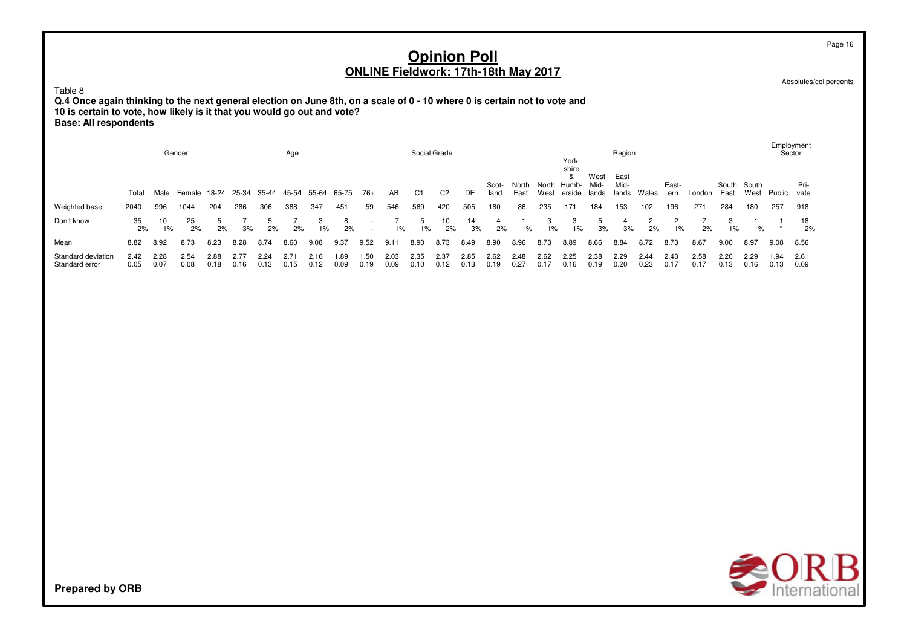Absolutes/col percents

Page 16

Table 8 **Q.4 Once again thinking to the next general election on June 8th, on a scale of 0 - 10 where 0 is certain not to vote and 10 is certain to vote, how likely is it that you would go out and vote? Base: All respondents**

|                                      |              | Gender<br>Age |              |              |              |              |              |              |              |                                 |               | Social Grade |              | Region       |               |               |              |                                              |                       |                       |              |              | Employment<br>Sector |              |                     |             |              |
|--------------------------------------|--------------|---------------|--------------|--------------|--------------|--------------|--------------|--------------|--------------|---------------------------------|---------------|--------------|--------------|--------------|---------------|---------------|--------------|----------------------------------------------|-----------------------|-----------------------|--------------|--------------|----------------------|--------------|---------------------|-------------|--------------|
|                                      | Total        |               | Male Female  | 18-24        | 25-34        | 35-44 45-54  |              | 55-64        | 65-75        | 76+                             | AB            | C1           | C2           | DE           | Scot-<br>land | North<br>East | West         | York-<br>shire<br>ă<br>North Humb-<br>erside | West<br>Mid-<br>lands | East<br>Mid-<br>lands | Wales        | East-<br>ern | London               | East         | South South<br>West | Public      | Pri-<br>vate |
| Weighted base                        | 2040         | 996           | 1044         | 204          | 286          | 306          | 388          | 347          | 451          | 59                              | 546           | 569          | 420          | 505          | 180           | 86            | 235          | 171                                          | 184                   | 153                   | 102          | 196          | 271                  | 284          | 180                 | 257         | 918          |
| Don't know                           | 35<br>2%     | 10<br>1%      | 25<br>2%     | 5<br>2%      | 3%           | 2%           | 2%           | 1%           | 2%           | . .<br>$\overline{\phantom{a}}$ | 1%            | 5.<br>$1\%$  | 2%           | 14<br>3%     | 2%            | 1%            | 1%           | 1%                                           | 3%                    | 3%                    | 2%           | 1%           | 2%                   | $1\%$        | 1%                  |             | 18<br>2%     |
| Mean                                 | 8.82         | 8.92          | 8.73         | 8.23         | 8.28         | 8.74         | 8.60         | 9.08         | 9.37         | 9.52                            | $9.1^{\circ}$ | 8.90         | 8.73         | 8.49         | 8.90          | 8.96          | 8.73         | 8.89                                         | 8.66                  | 8.84                  | 8.72         | 8.73         | 8.67                 | 9.00         | 8.97                | 9.08        | 8.56         |
| Standard deviation<br>Standard error | 2.42<br>0.05 | 2.28<br>0.07  | 2.54<br>0.08 | 2.88<br>0.18 | 2.77<br>0.16 | 2.24<br>0.13 | 2.71<br>0.15 | 2.16<br>በ 12 | 1.89<br>0.09 | .50<br>0.19                     | 2.03<br>0.09  | 2.35<br>0.10 | 2.37<br>በ 12 | 2.85<br>በ 13 | 2.62<br>0.19  | 2.48<br>0.27  | 2.62<br>0.17 | 2.25<br>0.16                                 | 2.38<br>0.19          | 2.29<br>0.20          | 2.44<br>0.23 | 2.43<br>0.17 | 2.58<br>0.17         | 2.20<br>0.13 | 2.29<br>0.16        | .94<br>0.13 | 2.61<br>0.09 |

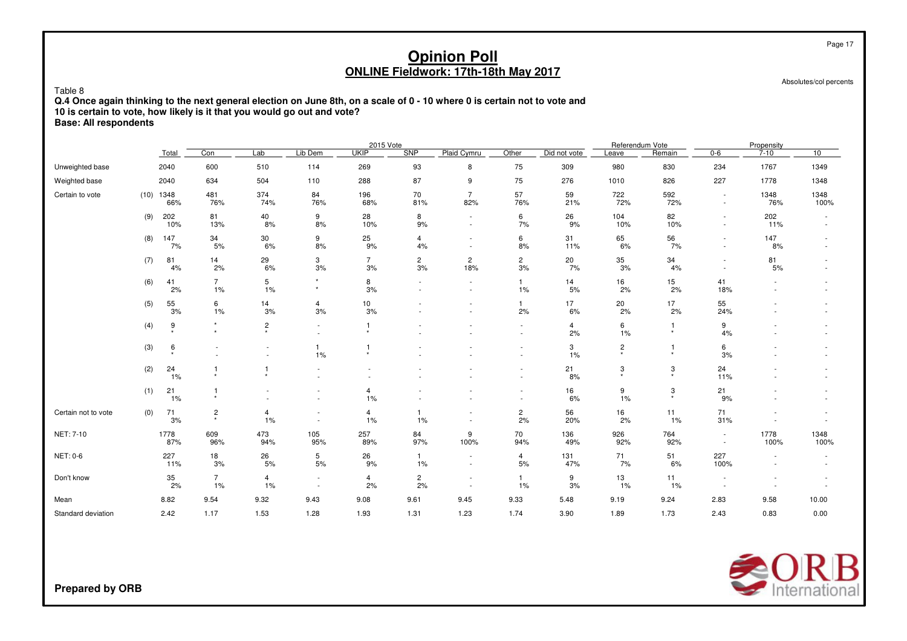Absolutes/col percents

Page 17

Table 8 **Q.4 Once again thinking to the next general election on June 8th, on a scale of 0 - 10 where 0 is certain not to vote and 10 is certain to vote, how likely is it that you would go out and vote? Base: All respondents**

|                     |     |                    |                           |                                                      |                                    | 2015 Vote            |                          |                          |                      |                      | Referendum Vote  |              |                          | Propensity                         |                          |
|---------------------|-----|--------------------|---------------------------|------------------------------------------------------|------------------------------------|----------------------|--------------------------|--------------------------|----------------------|----------------------|------------------|--------------|--------------------------|------------------------------------|--------------------------|
|                     |     | Total              | Con                       | Lab                                                  | Lib Dem                            | <b>UKIP</b>          | <b>SNP</b>               | Plaid Cymru              | Other                | Did not vote         | Leave            | Remain       | $0 - 6$                  | $7 - 10$                           | 10                       |
| Unweighted base     |     | 2040               | 600                       | 510                                                  | 114                                | 269                  | 93                       | 8                        | 75                   | 309                  | 980              | 830          | 234                      | 1767                               | 1349                     |
| Weighted base       |     | 2040               | 634                       | 504                                                  | 110                                | 288                  | 87                       | 9                        | 75                   | 276                  | 1010             | 826          | 227                      | 1778                               | 1348                     |
| Certain to vote     |     | $(10)$ 1348<br>66% | 481<br>76%                | 374<br>74%                                           | 84<br>76%                          | 196<br>68%           | 70<br>81%                | $\overline{7}$<br>82%    | 57<br>76%            | 59<br>21%            | 722<br>72%       | 592<br>72%   | $\sim$<br>$\sim$         | 1348<br>76%                        | 1348<br>100%             |
|                     | (9) | 202<br>10%         | 81<br>13%                 | 40<br>8%                                             | 9<br>8%                            | 28<br>10%            | 8<br>$9%$                |                          | 6<br>7%              | 26<br>9%             | 104<br>10%       | 82<br>10%    |                          | 202<br>11%                         |                          |
|                     | (8) | 147<br>7%          | 34<br>5%                  | 30<br>6%                                             | 9<br>8%                            | 25<br>9%             | 4<br>4%                  | $\sim$                   | 6<br>8%              | 31<br>11%            | 65<br>6%         | 56<br>7%     | $\sim$                   | 147<br>8%                          |                          |
|                     | (7) | 81<br>4%           | 14<br>2%                  | 29<br>6%                                             | 3<br>3%                            | $\overline{7}$<br>3% | $\mathbf{2}$<br>3%       | $\overline{c}$<br>18%    | $\overline{2}$<br>3% | 20<br>7%             | 35<br>3%         | 34<br>4%     | $\overline{a}$           | 81<br>5%                           | $\overline{\phantom{a}}$ |
|                     | (6) | 41<br>2%           | $\overline{7}$<br>1%      | 5<br>1%                                              | $\star$                            | 8<br>3%              | $\overline{\phantom{a}}$ | $\overline{\phantom{a}}$ | 1<br>1%              | 14<br>5%             | 16<br>2%         | 15<br>2%     | 41<br>18%                |                                    |                          |
|                     | (5) | 55<br>3%           | 6<br>1%                   | 14<br>3%                                             | $\overline{4}$<br>3%               | 10<br>3%             |                          |                          | $\mathbf{1}$<br>2%   | 17<br>6%             | 20<br>2%         | 17<br>2%     | 55<br>24%                |                                    | $\sim$                   |
|                     | (4) | 9<br>$\star$       | $^\star$<br>$\ddot{}$     | $\overline{c}$<br>$\star$                            | ٠                                  | $\star$              |                          |                          |                      | $\overline{4}$<br>2% | 6<br>1%          | $\star$      | 9<br>4%                  |                                    |                          |
|                     | (3) | 6<br>$\star$       |                           | $\overline{\phantom{a}}$<br>$\overline{\phantom{a}}$ | 1%                                 |                      |                          |                          | $\sim$               | 3<br>1%              | $\frac{2}{\ast}$ | $\star$      | 6<br>3%                  |                                    |                          |
|                     | (2) | 24<br>1%           | $\mathbf{1}$<br>$\star$   | $\mathbf{1}$<br>$\star$                              | $\overline{\phantom{a}}$           |                      |                          |                          |                      | 21<br>8%             | 3<br>$\star$     | 3<br>$\star$ | 24<br>11%                |                                    |                          |
|                     | (1) | 21<br>1%           | $\mathbf{1}$<br>$^\star$  | ٠                                                    | $\overline{\phantom{a}}$<br>٠      | $\overline{4}$<br>1% |                          |                          | $\sim$<br>$\sim$     | 16<br>6%             | 9<br>1%          | 3            | 21<br>9%                 |                                    |                          |
| Certain not to vote | (0) | 71<br>3%           | $\overline{c}$<br>$\star$ | 4<br>1%                                              | $\overline{\phantom{a}}$<br>$\sim$ | $\overline{4}$<br>1% | $\mathbf{1}$<br>1%       |                          | $\mathbf{2}$<br>2%   | 56<br>20%            | 16<br>2%         | 11<br>1%     | 71<br>31%                |                                    |                          |
| NET: 7-10           |     | 1778<br>87%        | 609<br>96%                | 473<br>94%                                           | 105<br>95%                         | 257<br>89%           | 84<br>97%                | 9<br>100%                | 70<br>94%            | 136<br>49%           | 926<br>92%       | 764<br>92%   |                          | 1778<br>100%                       | 1348<br>100%             |
| NET: 0-6            |     | 227<br>11%         | 18<br>3%                  | 26<br>5%                                             | 5<br>5%                            | 26<br>9%             | $\mathbf{1}$<br>1%       | $\sim$                   | $\overline{4}$<br>5% | 131<br>47%           | 71<br>7%         | 51<br>6%     | 227<br>100%              | $\sim$<br>$\overline{\phantom{a}}$ |                          |
| Don't know          |     | 35<br>2%           | $\overline{7}$<br>1%      | 4<br>1%                                              | $\overline{\phantom{a}}$           | $\overline{4}$<br>2% | $\mathbf{2}$<br>2%       | $\overline{\phantom{a}}$ | 1<br>1%              | 9<br>3%              | 13<br>1%         | 11<br>1%     | $\overline{\phantom{a}}$ | $\overline{\phantom{a}}$           |                          |
| Mean                |     | 8.82               | 9.54                      | 9.32                                                 | 9.43                               | 9.08                 | 9.61                     | 9.45                     | 9.33                 | 5.48                 | 9.19             | 9.24         | 2.83                     | 9.58                               | 10.00                    |
| Standard deviation  |     | 2.42               | 1.17                      | 1.53                                                 | 1.28                               | 1.93                 | 1.31                     | 1.23                     | 1.74                 | 3.90                 | 1.89             | 1.73         | 2.43                     | 0.83                               | 0.00                     |